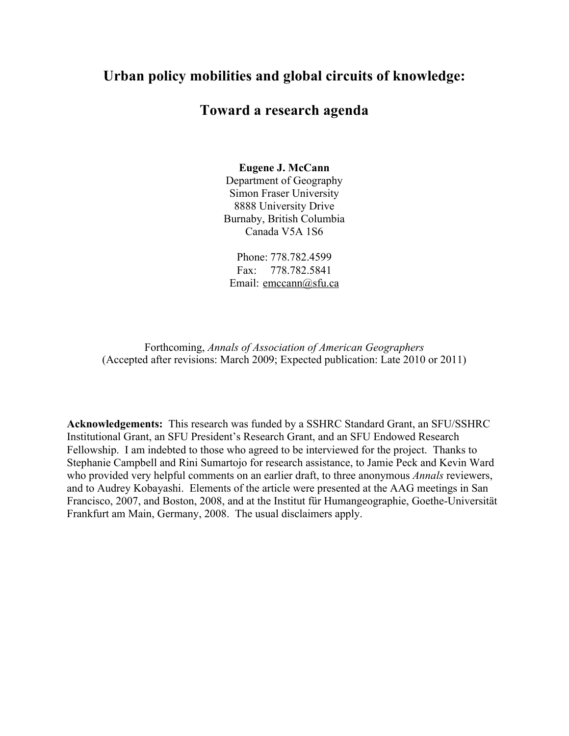# **Urban policy mobilities and global circuits of knowledge:**

## **Toward a research agenda**

#### **Eugene J. McCann**

Department of Geography Simon Fraser University 8888 University Drive Burnaby, British Columbia Canada V5A 1S6

Phone: 778.782.4599 Fax: 778.782.5841 Email: emccann@sfu.ca

Forthcoming, *Annals of Association of American Geographers* (Accepted after revisions: March 2009; Expected publication: Late 2010 or 2011)

**Acknowledgements:** This research was funded by a SSHRC Standard Grant, an SFU/SSHRC Institutional Grant, an SFU President's Research Grant, and an SFU Endowed Research Fellowship. I am indebted to those who agreed to be interviewed for the project. Thanks to Stephanie Campbell and Rini Sumartojo for research assistance, to Jamie Peck and Kevin Ward who provided very helpful comments on an earlier draft, to three anonymous *Annals* reviewers, and to Audrey Kobayashi. Elements of the article were presented at the AAG meetings in San Francisco, 2007, and Boston, 2008, and at the Institut für Humangeographie, Goethe-Universität Frankfurt am Main, Germany, 2008. The usual disclaimers apply.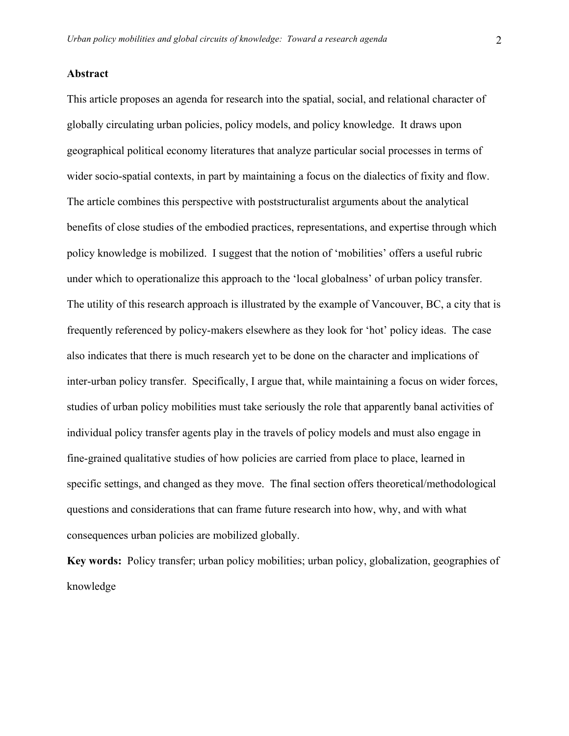#### **Abstract**

This article proposes an agenda for research into the spatial, social, and relational character of globally circulating urban policies, policy models, and policy knowledge. It draws upon geographical political economy literatures that analyze particular social processes in terms of wider socio-spatial contexts, in part by maintaining a focus on the dialectics of fixity and flow. The article combines this perspective with poststructuralist arguments about the analytical benefits of close studies of the embodied practices, representations, and expertise through which policy knowledge is mobilized. I suggest that the notion of 'mobilities' offers a useful rubric under which to operationalize this approach to the 'local globalness' of urban policy transfer. The utility of this research approach is illustrated by the example of Vancouver, BC, a city that is frequently referenced by policy-makers elsewhere as they look for 'hot' policy ideas. The case also indicates that there is much research yet to be done on the character and implications of inter-urban policy transfer. Specifically, I argue that, while maintaining a focus on wider forces, studies of urban policy mobilities must take seriously the role that apparently banal activities of individual policy transfer agents play in the travels of policy models and must also engage in fine-grained qualitative studies of how policies are carried from place to place, learned in specific settings, and changed as they move. The final section offers theoretical/methodological questions and considerations that can frame future research into how, why, and with what consequences urban policies are mobilized globally.

**Key words:** Policy transfer; urban policy mobilities; urban policy, globalization, geographies of knowledge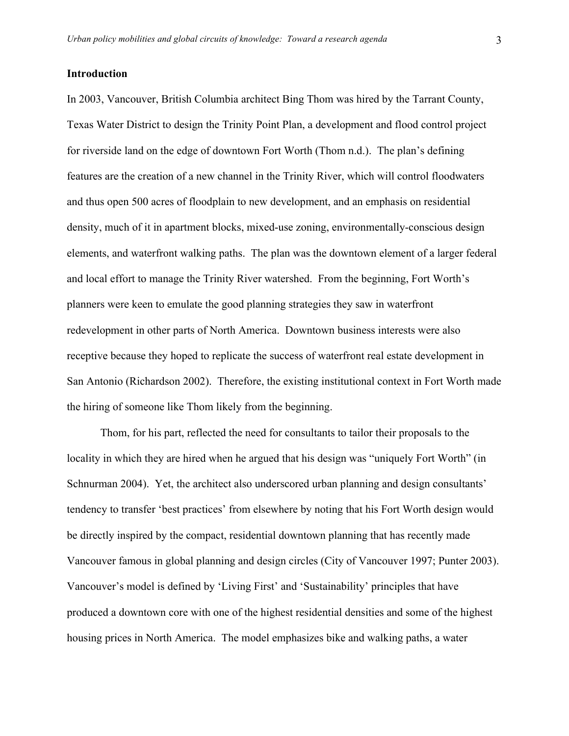#### **Introduction**

In 2003, Vancouver, British Columbia architect Bing Thom was hired by the Tarrant County, Texas Water District to design the Trinity Point Plan, a development and flood control project for riverside land on the edge of downtown Fort Worth (Thom n.d.). The plan's defining features are the creation of a new channel in the Trinity River, which will control floodwaters and thus open 500 acres of floodplain to new development, and an emphasis on residential density, much of it in apartment blocks, mixed-use zoning, environmentally-conscious design elements, and waterfront walking paths. The plan was the downtown element of a larger federal and local effort to manage the Trinity River watershed. From the beginning, Fort Worth's planners were keen to emulate the good planning strategies they saw in waterfront redevelopment in other parts of North America. Downtown business interests were also receptive because they hoped to replicate the success of waterfront real estate development in San Antonio (Richardson 2002). Therefore, the existing institutional context in Fort Worth made the hiring of someone like Thom likely from the beginning.

Thom, for his part, reflected the need for consultants to tailor their proposals to the locality in which they are hired when he argued that his design was "uniquely Fort Worth" (in Schnurman 2004). Yet, the architect also underscored urban planning and design consultants' tendency to transfer 'best practices' from elsewhere by noting that his Fort Worth design would be directly inspired by the compact, residential downtown planning that has recently made Vancouver famous in global planning and design circles (City of Vancouver 1997; Punter 2003). Vancouver's model is defined by 'Living First' and 'Sustainability' principles that have produced a downtown core with one of the highest residential densities and some of the highest housing prices in North America. The model emphasizes bike and walking paths, a water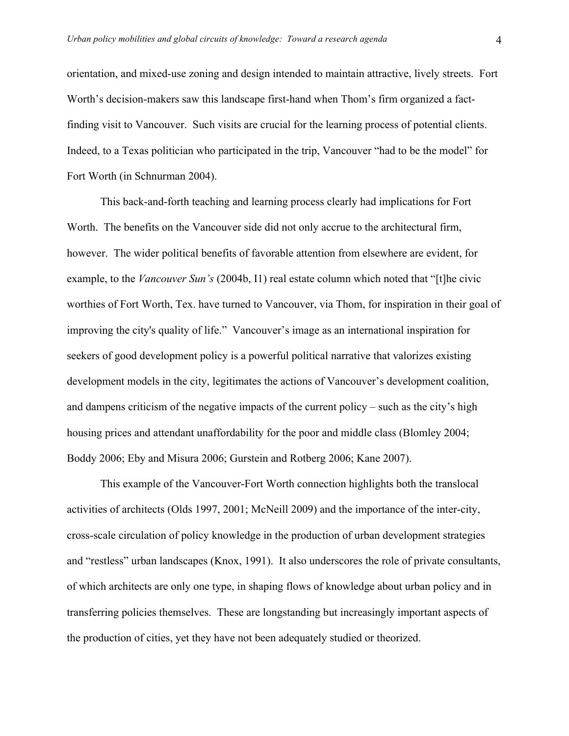orientation, and mixed-use zoning and design intended to maintain attractive, lively streets. Fort Worth's decision-makers saw this landscape first-hand when Thom's firm organized a factfinding visit to Vancouver. Such visits are crucial for the learning process of potential clients. Indeed, to a Texas politician who participated in the trip, Vancouver "had to be the model" for Fort Worth (in Schnurman 2004).

This back-and-forth teaching and learning process clearly had implications for Fort Worth. The benefits on the Vancouver side did not only accrue to the architectural firm, however. The wider political benefits of favorable attention from elsewhere are evident, for example, to the *Vancouver Sun's* (2004b, I1) real estate column which noted that "[t]he civic worthies of Fort Worth, Tex. have turned to Vancouver, via Thom, for inspiration in their goal of improving the city's quality of life." Vancouver's image as an international inspiration for seekers of good development policy is a powerful political narrative that valorizes existing development models in the city, legitimates the actions of Vancouver's development coalition, and dampens criticism of the negative impacts of the current policy – such as the city's high housing prices and attendant unaffordability for the poor and middle class (Blomley 2004; Boddy 2006; Eby and Misura 2006; Gurstein and Rotberg 2006; Kane 2007).

This example of the Vancouver-Fort Worth connection highlights both the translocal activities of architects (Olds 1997, 2001; McNeill 2009) and the importance of the inter-city, cross-scale circulation of policy knowledge in the production of urban development strategies and "restless" urban landscapes (Knox, 1991). It also underscores the role of private consultants, of which architects are only one type, in shaping flows of knowledge about urban policy and in transferring policies themselves. These are longstanding but increasingly important aspects of the production of cities, yet they have not been adequately studied or theorized.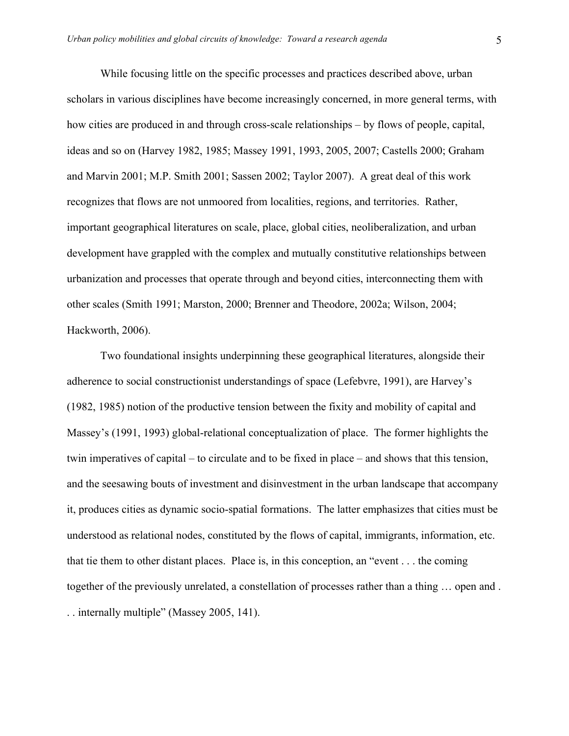While focusing little on the specific processes and practices described above, urban scholars in various disciplines have become increasingly concerned, in more general terms, with how cities are produced in and through cross-scale relationships – by flows of people, capital, ideas and so on (Harvey 1982, 1985; Massey 1991, 1993, 2005, 2007; Castells 2000; Graham and Marvin 2001; M.P. Smith 2001; Sassen 2002; Taylor 2007). A great deal of this work recognizes that flows are not unmoored from localities, regions, and territories. Rather, important geographical literatures on scale, place, global cities, neoliberalization, and urban development have grappled with the complex and mutually constitutive relationships between urbanization and processes that operate through and beyond cities, interconnecting them with other scales (Smith 1991; Marston, 2000; Brenner and Theodore, 2002a; Wilson, 2004; Hackworth, 2006).

Two foundational insights underpinning these geographical literatures, alongside their adherence to social constructionist understandings of space (Lefebvre, 1991), are Harvey's (1982, 1985) notion of the productive tension between the fixity and mobility of capital and Massey's (1991, 1993) global-relational conceptualization of place. The former highlights the twin imperatives of capital – to circulate and to be fixed in place – and shows that this tension, and the seesawing bouts of investment and disinvestment in the urban landscape that accompany it, produces cities as dynamic socio-spatial formations. The latter emphasizes that cities must be understood as relational nodes, constituted by the flows of capital, immigrants, information, etc. that tie them to other distant places. Place is, in this conception, an "event . . . the coming together of the previously unrelated, a constellation of processes rather than a thing … open and . . . internally multiple" (Massey 2005, 141).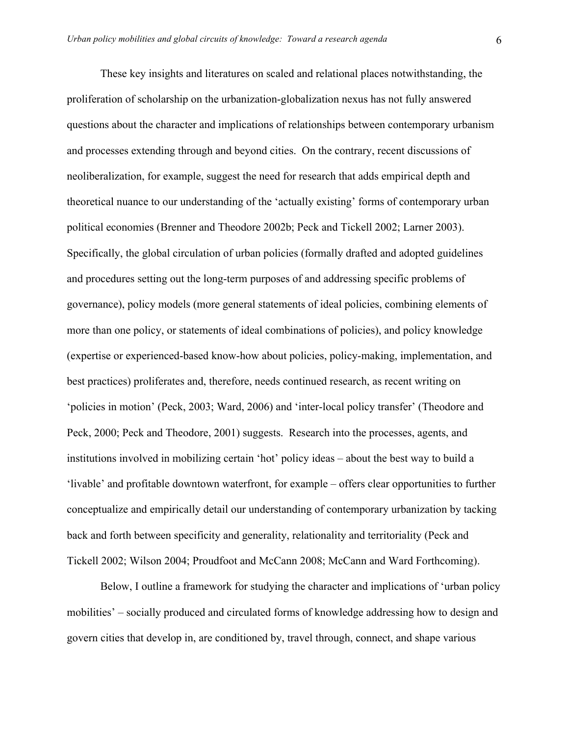These key insights and literatures on scaled and relational places notwithstanding, the proliferation of scholarship on the urbanization-globalization nexus has not fully answered questions about the character and implications of relationships between contemporary urbanism and processes extending through and beyond cities. On the contrary, recent discussions of neoliberalization, for example, suggest the need for research that adds empirical depth and theoretical nuance to our understanding of the 'actually existing' forms of contemporary urban political economies (Brenner and Theodore 2002b; Peck and Tickell 2002; Larner 2003). Specifically, the global circulation of urban policies (formally drafted and adopted guidelines and procedures setting out the long-term purposes of and addressing specific problems of governance), policy models (more general statements of ideal policies, combining elements of more than one policy, or statements of ideal combinations of policies), and policy knowledge (expertise or experienced-based know-how about policies, policy-making, implementation, and best practices) proliferates and, therefore, needs continued research, as recent writing on 'policies in motion' (Peck, 2003; Ward, 2006) and 'inter-local policy transfer' (Theodore and Peck, 2000; Peck and Theodore, 2001) suggests. Research into the processes, agents, and institutions involved in mobilizing certain 'hot' policy ideas – about the best way to build a 'livable' and profitable downtown waterfront, for example – offers clear opportunities to further conceptualize and empirically detail our understanding of contemporary urbanization by tacking back and forth between specificity and generality, relationality and territoriality (Peck and Tickell 2002; Wilson 2004; Proudfoot and McCann 2008; McCann and Ward Forthcoming).

Below, I outline a framework for studying the character and implications of 'urban policy mobilities' – socially produced and circulated forms of knowledge addressing how to design and govern cities that develop in, are conditioned by, travel through, connect, and shape various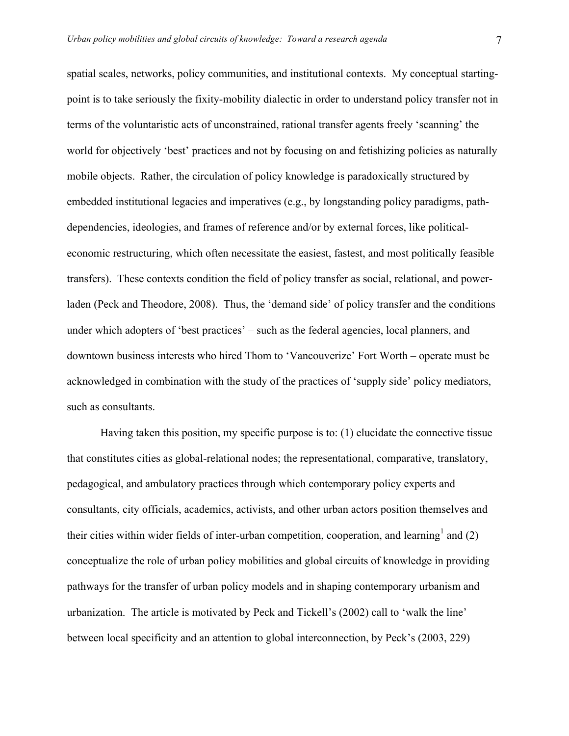spatial scales, networks, policy communities, and institutional contexts. My conceptual startingpoint is to take seriously the fixity-mobility dialectic in order to understand policy transfer not in terms of the voluntaristic acts of unconstrained, rational transfer agents freely 'scanning' the world for objectively 'best' practices and not by focusing on and fetishizing policies as naturally mobile objects. Rather, the circulation of policy knowledge is paradoxically structured by embedded institutional legacies and imperatives (e.g., by longstanding policy paradigms, pathdependencies, ideologies, and frames of reference and/or by external forces, like politicaleconomic restructuring, which often necessitate the easiest, fastest, and most politically feasible transfers). These contexts condition the field of policy transfer as social, relational, and powerladen (Peck and Theodore, 2008). Thus, the 'demand side' of policy transfer and the conditions under which adopters of 'best practices' – such as the federal agencies, local planners, and downtown business interests who hired Thom to 'Vancouverize' Fort Worth – operate must be acknowledged in combination with the study of the practices of 'supply side' policy mediators, such as consultants.

Having taken this position, my specific purpose is to: (1) elucidate the connective tissue that constitutes cities as global-relational nodes; the representational, comparative, translatory, pedagogical, and ambulatory practices through which contemporary policy experts and consultants, city officials, academics, activists, and other urban actors position themselves and their cities within wider fields of inter-urban competition, cooperation, and learning<sup>1</sup> and (2) conceptualize the role of urban policy mobilities and global circuits of knowledge in providing pathways for the transfer of urban policy models and in shaping contemporary urbanism and urbanization. The article is motivated by Peck and Tickell's (2002) call to 'walk the line' between local specificity and an attention to global interconnection, by Peck's (2003, 229)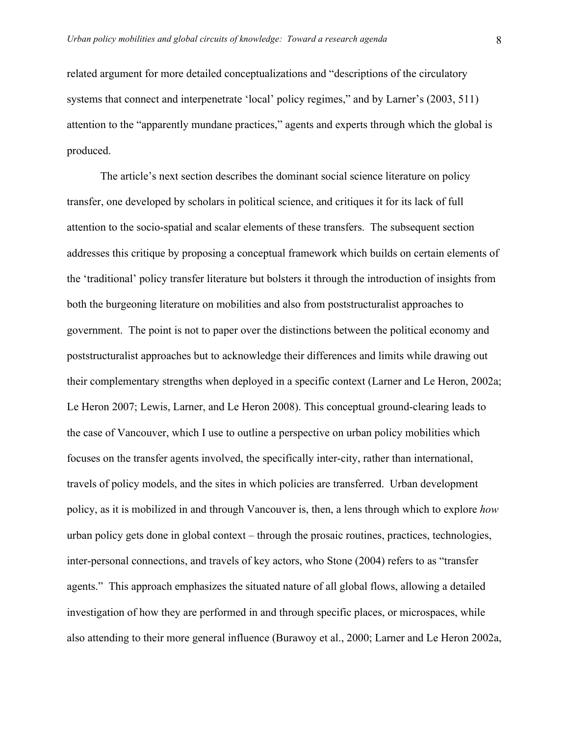related argument for more detailed conceptualizations and "descriptions of the circulatory systems that connect and interpenetrate 'local' policy regimes," and by Larner's (2003, 511) attention to the "apparently mundane practices," agents and experts through which the global is produced.

The article's next section describes the dominant social science literature on policy transfer, one developed by scholars in political science, and critiques it for its lack of full attention to the socio-spatial and scalar elements of these transfers. The subsequent section addresses this critique by proposing a conceptual framework which builds on certain elements of the 'traditional' policy transfer literature but bolsters it through the introduction of insights from both the burgeoning literature on mobilities and also from poststructuralist approaches to government. The point is not to paper over the distinctions between the political economy and poststructuralist approaches but to acknowledge their differences and limits while drawing out their complementary strengths when deployed in a specific context (Larner and Le Heron, 2002a; Le Heron 2007; Lewis, Larner, and Le Heron 2008). This conceptual ground-clearing leads to the case of Vancouver, which I use to outline a perspective on urban policy mobilities which focuses on the transfer agents involved, the specifically inter-city, rather than international, travels of policy models, and the sites in which policies are transferred. Urban development policy, as it is mobilized in and through Vancouver is, then, a lens through which to explore *how* urban policy gets done in global context – through the prosaic routines, practices, technologies, inter-personal connections, and travels of key actors, who Stone (2004) refers to as "transfer agents." This approach emphasizes the situated nature of all global flows, allowing a detailed investigation of how they are performed in and through specific places, or microspaces, while also attending to their more general influence (Burawoy et al., 2000; Larner and Le Heron 2002a,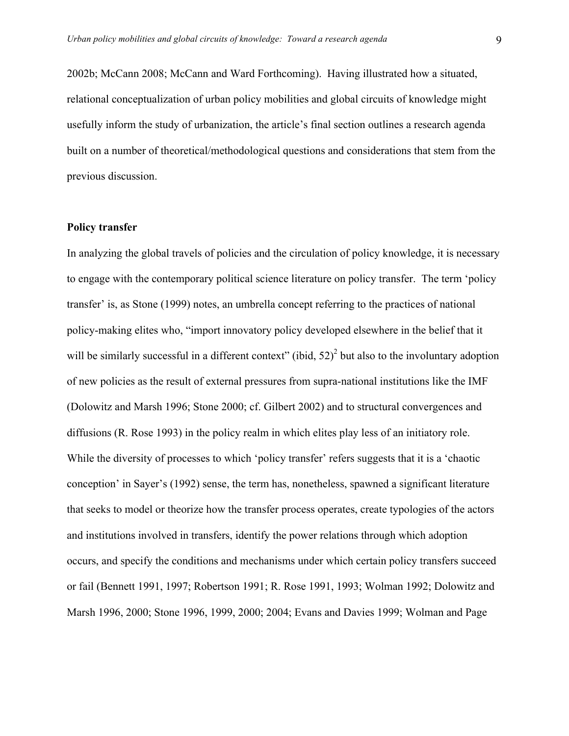2002b; McCann 2008; McCann and Ward Forthcoming). Having illustrated how a situated, relational conceptualization of urban policy mobilities and global circuits of knowledge might usefully inform the study of urbanization, the article's final section outlines a research agenda built on a number of theoretical/methodological questions and considerations that stem from the previous discussion.

#### **Policy transfer**

In analyzing the global travels of policies and the circulation of policy knowledge, it is necessary to engage with the contemporary political science literature on policy transfer. The term 'policy transfer' is, as Stone (1999) notes, an umbrella concept referring to the practices of national policy-making elites who, "import innovatory policy developed elsewhere in the belief that it will be similarly successful in a different context" (ibid,  $52)^2$  but also to the involuntary adoption of new policies as the result of external pressures from supra-national institutions like the IMF (Dolowitz and Marsh 1996; Stone 2000; cf. Gilbert 2002) and to structural convergences and diffusions (R. Rose 1993) in the policy realm in which elites play less of an initiatory role. While the diversity of processes to which 'policy transfer' refers suggests that it is a 'chaotic conception' in Sayer's (1992) sense, the term has, nonetheless, spawned a significant literature that seeks to model or theorize how the transfer process operates, create typologies of the actors and institutions involved in transfers, identify the power relations through which adoption occurs, and specify the conditions and mechanisms under which certain policy transfers succeed or fail (Bennett 1991, 1997; Robertson 1991; R. Rose 1991, 1993; Wolman 1992; Dolowitz and Marsh 1996, 2000; Stone 1996, 1999, 2000; 2004; Evans and Davies 1999; Wolman and Page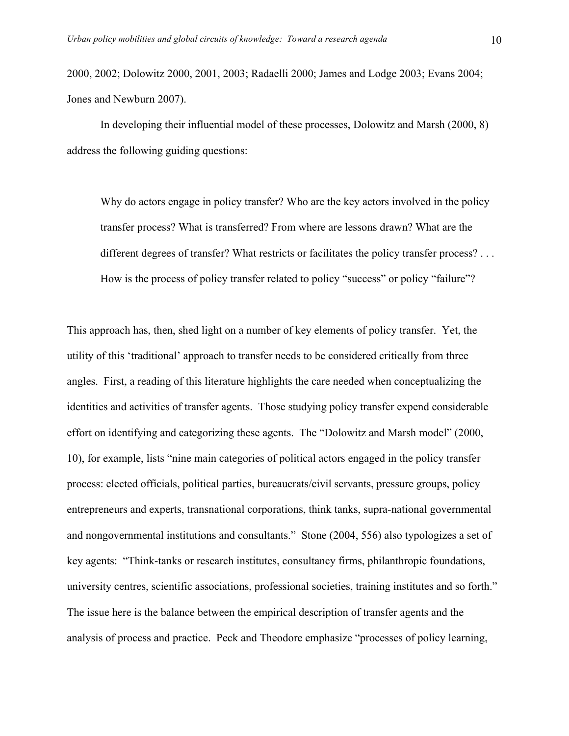2000, 2002; Dolowitz 2000, 2001, 2003; Radaelli 2000; James and Lodge 2003; Evans 2004; Jones and Newburn 2007).

In developing their influential model of these processes, Dolowitz and Marsh (2000, 8) address the following guiding questions:

Why do actors engage in policy transfer? Who are the key actors involved in the policy transfer process? What is transferred? From where are lessons drawn? What are the different degrees of transfer? What restricts or facilitates the policy transfer process? . . . How is the process of policy transfer related to policy "success" or policy "failure"?

This approach has, then, shed light on a number of key elements of policy transfer. Yet, the utility of this 'traditional' approach to transfer needs to be considered critically from three angles. First, a reading of this literature highlights the care needed when conceptualizing the identities and activities of transfer agents. Those studying policy transfer expend considerable effort on identifying and categorizing these agents. The "Dolowitz and Marsh model" (2000, 10), for example, lists "nine main categories of political actors engaged in the policy transfer process: elected officials, political parties, bureaucrats/civil servants, pressure groups, policy entrepreneurs and experts, transnational corporations, think tanks, supra-national governmental and nongovernmental institutions and consultants." Stone (2004, 556) also typologizes a set of key agents: "Think-tanks or research institutes, consultancy firms, philanthropic foundations, university centres, scientific associations, professional societies, training institutes and so forth." The issue here is the balance between the empirical description of transfer agents and the analysis of process and practice. Peck and Theodore emphasize "processes of policy learning,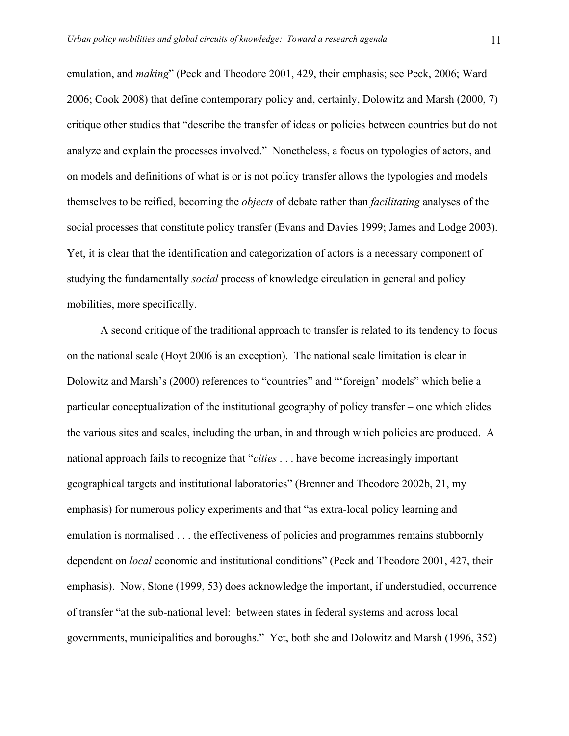emulation, and *making*" (Peck and Theodore 2001, 429, their emphasis; see Peck, 2006; Ward 2006; Cook 2008) that define contemporary policy and, certainly, Dolowitz and Marsh (2000, 7) critique other studies that "describe the transfer of ideas or policies between countries but do not analyze and explain the processes involved." Nonetheless, a focus on typologies of actors, and on models and definitions of what is or is not policy transfer allows the typologies and models themselves to be reified, becoming the *objects* of debate rather than *facilitating* analyses of the social processes that constitute policy transfer (Evans and Davies 1999; James and Lodge 2003). Yet, it is clear that the identification and categorization of actors is a necessary component of studying the fundamentally *social* process of knowledge circulation in general and policy mobilities, more specifically.

A second critique of the traditional approach to transfer is related to its tendency to focus on the national scale (Hoyt 2006 is an exception). The national scale limitation is clear in Dolowitz and Marsh's (2000) references to "countries" and "'foreign' models" which belie a particular conceptualization of the institutional geography of policy transfer – one which elides the various sites and scales, including the urban, in and through which policies are produced. A national approach fails to recognize that "*cities* . . . have become increasingly important geographical targets and institutional laboratories" (Brenner and Theodore 2002b, 21, my emphasis) for numerous policy experiments and that "as extra-local policy learning and emulation is normalised . . . the effectiveness of policies and programmes remains stubbornly dependent on *local* economic and institutional conditions" (Peck and Theodore 2001, 427, their emphasis). Now, Stone (1999, 53) does acknowledge the important, if understudied, occurrence of transfer "at the sub-national level: between states in federal systems and across local governments, municipalities and boroughs." Yet, both she and Dolowitz and Marsh (1996, 352)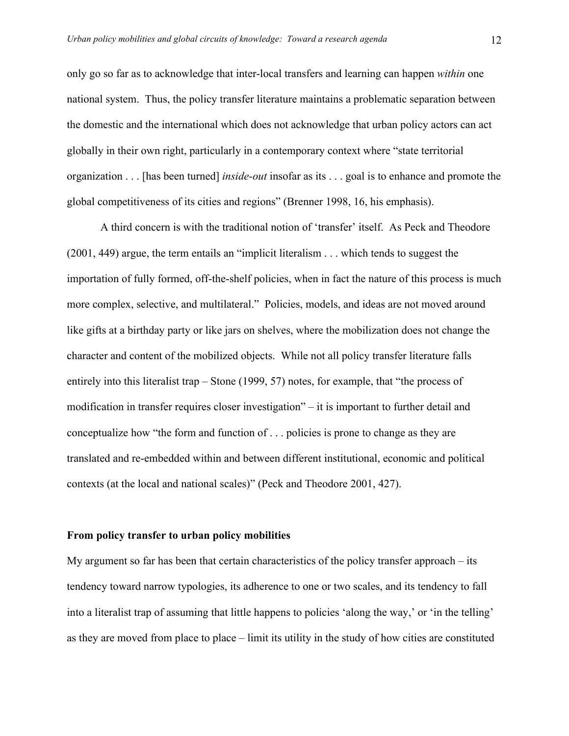only go so far as to acknowledge that inter-local transfers and learning can happen *within* one national system. Thus, the policy transfer literature maintains a problematic separation between the domestic and the international which does not acknowledge that urban policy actors can act globally in their own right, particularly in a contemporary context where "state territorial organization . . . [has been turned] *inside-out* insofar as its . . . goal is to enhance and promote the global competitiveness of its cities and regions" (Brenner 1998, 16, his emphasis).

A third concern is with the traditional notion of 'transfer' itself. As Peck and Theodore (2001, 449) argue, the term entails an "implicit literalism . . . which tends to suggest the importation of fully formed, off-the-shelf policies, when in fact the nature of this process is much more complex, selective, and multilateral." Policies, models, and ideas are not moved around like gifts at a birthday party or like jars on shelves, where the mobilization does not change the character and content of the mobilized objects. While not all policy transfer literature falls entirely into this literalist trap – Stone (1999, 57) notes, for example, that "the process of modification in transfer requires closer investigation" – it is important to further detail and conceptualize how "the form and function of . . . policies is prone to change as they are translated and re-embedded within and between different institutional, economic and political contexts (at the local and national scales)" (Peck and Theodore 2001, 427).

#### **From policy transfer to urban policy mobilities**

My argument so far has been that certain characteristics of the policy transfer approach – its tendency toward narrow typologies, its adherence to one or two scales, and its tendency to fall into a literalist trap of assuming that little happens to policies 'along the way,' or 'in the telling' as they are moved from place to place – limit its utility in the study of how cities are constituted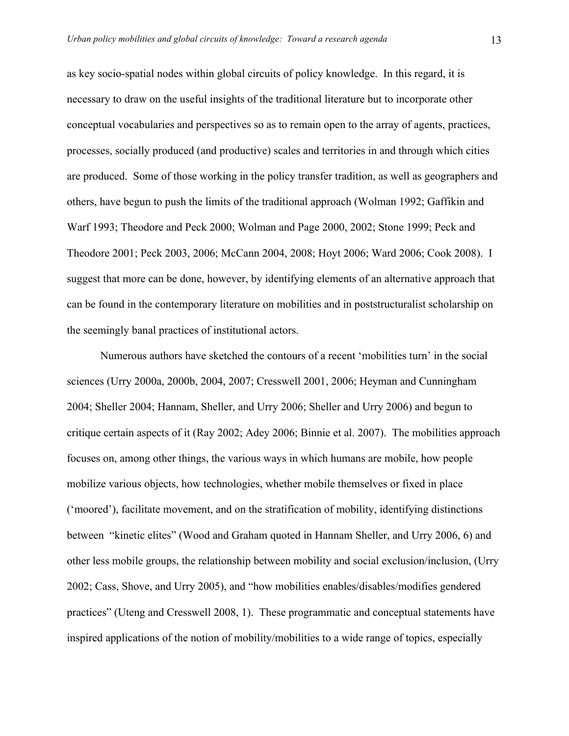as key socio-spatial nodes within global circuits of policy knowledge. In this regard, it is necessary to draw on the useful insights of the traditional literature but to incorporate other conceptual vocabularies and perspectives so as to remain open to the array of agents, practices, processes, socially produced (and productive) scales and territories in and through which cities are produced. Some of those working in the policy transfer tradition, as well as geographers and others, have begun to push the limits of the traditional approach (Wolman 1992; Gaffikin and Warf 1993; Theodore and Peck 2000; Wolman and Page 2000, 2002; Stone 1999; Peck and Theodore 2001; Peck 2003, 2006; McCann 2004, 2008; Hoyt 2006; Ward 2006; Cook 2008). I suggest that more can be done, however, by identifying elements of an alternative approach that can be found in the contemporary literature on mobilities and in poststructuralist scholarship on the seemingly banal practices of institutional actors.

Numerous authors have sketched the contours of a recent 'mobilities turn' in the social sciences (Urry 2000a, 2000b, 2004, 2007; Cresswell 2001, 2006; Heyman and Cunningham 2004; Sheller 2004; Hannam, Sheller, and Urry 2006; Sheller and Urry 2006) and begun to critique certain aspects of it (Ray 2002; Adey 2006; Binnie et al. 2007). The mobilities approach focuses on, among other things, the various ways in which humans are mobile, how people mobilize various objects, how technologies, whether mobile themselves or fixed in place ('moored'), facilitate movement, and on the stratification of mobility, identifying distinctions between "kinetic elites" (Wood and Graham quoted in Hannam Sheller, and Urry 2006, 6) and other less mobile groups, the relationship between mobility and social exclusion/inclusion, (Urry 2002; Cass, Shove, and Urry 2005), and "how mobilities enables/disables/modifies gendered practices" (Uteng and Cresswell 2008, 1). These programmatic and conceptual statements have inspired applications of the notion of mobility/mobilities to a wide range of topics, especially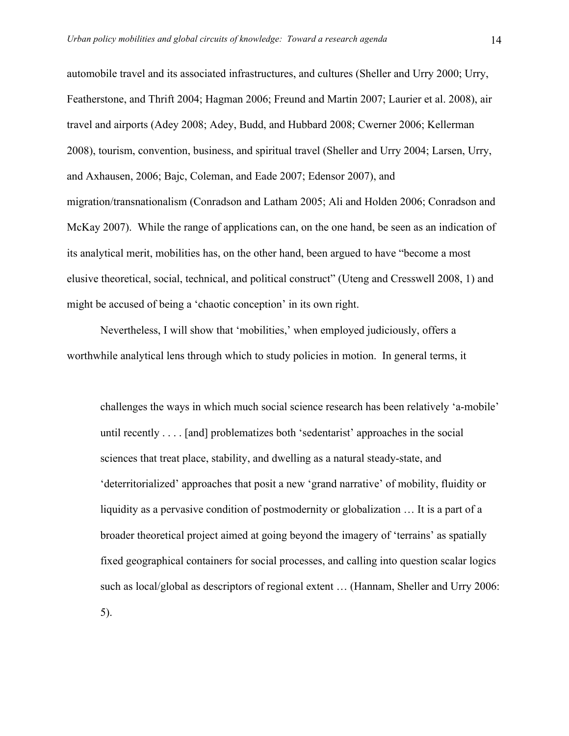automobile travel and its associated infrastructures, and cultures (Sheller and Urry 2000; Urry, Featherstone, and Thrift 2004; Hagman 2006; Freund and Martin 2007; Laurier et al. 2008), air travel and airports (Adey 2008; Adey, Budd, and Hubbard 2008; Cwerner 2006; Kellerman 2008), tourism, convention, business, and spiritual travel (Sheller and Urry 2004; Larsen, Urry, and Axhausen, 2006; Bajc, Coleman, and Eade 2007; Edensor 2007), and migration/transnationalism (Conradson and Latham 2005; Ali and Holden 2006; Conradson and McKay 2007). While the range of applications can, on the one hand, be seen as an indication of its analytical merit, mobilities has, on the other hand, been argued to have "become a most elusive theoretical, social, technical, and political construct" (Uteng and Cresswell 2008, 1) and might be accused of being a 'chaotic conception' in its own right.

Nevertheless, I will show that 'mobilities,' when employed judiciously, offers a worthwhile analytical lens through which to study policies in motion. In general terms, it

challenges the ways in which much social science research has been relatively 'a-mobile' until recently . . . . [and] problematizes both 'sedentarist' approaches in the social sciences that treat place, stability, and dwelling as a natural steady-state, and 'deterritorialized' approaches that posit a new 'grand narrative' of mobility, fluidity or liquidity as a pervasive condition of postmodernity or globalization … It is a part of a broader theoretical project aimed at going beyond the imagery of 'terrains' as spatially fixed geographical containers for social processes, and calling into question scalar logics such as local/global as descriptors of regional extent … (Hannam, Sheller and Urry 2006: 5).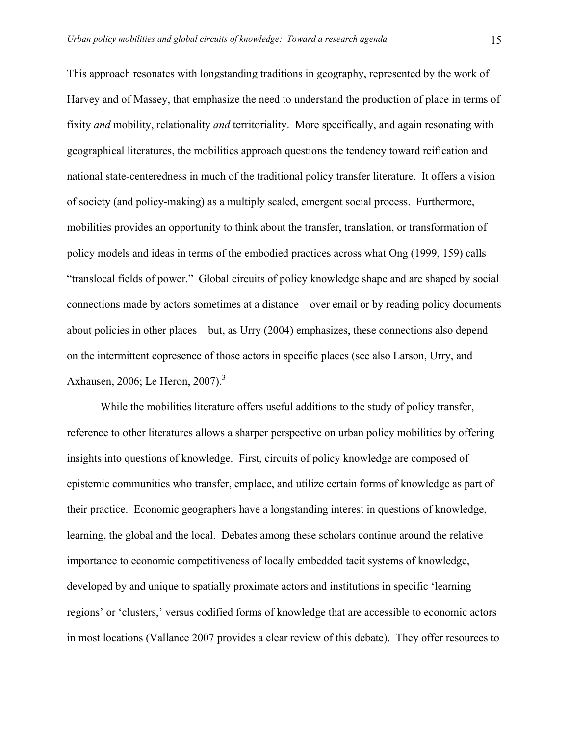This approach resonates with longstanding traditions in geography, represented by the work of Harvey and of Massey, that emphasize the need to understand the production of place in terms of fixity *and* mobility, relationality *and* territoriality. More specifically, and again resonating with geographical literatures, the mobilities approach questions the tendency toward reification and national state-centeredness in much of the traditional policy transfer literature. It offers a vision of society (and policy-making) as a multiply scaled, emergent social process. Furthermore, mobilities provides an opportunity to think about the transfer, translation, or transformation of policy models and ideas in terms of the embodied practices across what Ong (1999, 159) calls "translocal fields of power." Global circuits of policy knowledge shape and are shaped by social connections made by actors sometimes at a distance – over email or by reading policy documents about policies in other places – but, as Urry (2004) emphasizes, these connections also depend on the intermittent copresence of those actors in specific places (see also Larson, Urry, and Axhausen, 2006; Le Heron, 2007).<sup>3</sup>

While the mobilities literature offers useful additions to the study of policy transfer, reference to other literatures allows a sharper perspective on urban policy mobilities by offering insights into questions of knowledge. First, circuits of policy knowledge are composed of epistemic communities who transfer, emplace, and utilize certain forms of knowledge as part of their practice. Economic geographers have a longstanding interest in questions of knowledge, learning, the global and the local. Debates among these scholars continue around the relative importance to economic competitiveness of locally embedded tacit systems of knowledge, developed by and unique to spatially proximate actors and institutions in specific 'learning regions' or 'clusters,' versus codified forms of knowledge that are accessible to economic actors in most locations (Vallance 2007 provides a clear review of this debate). They offer resources to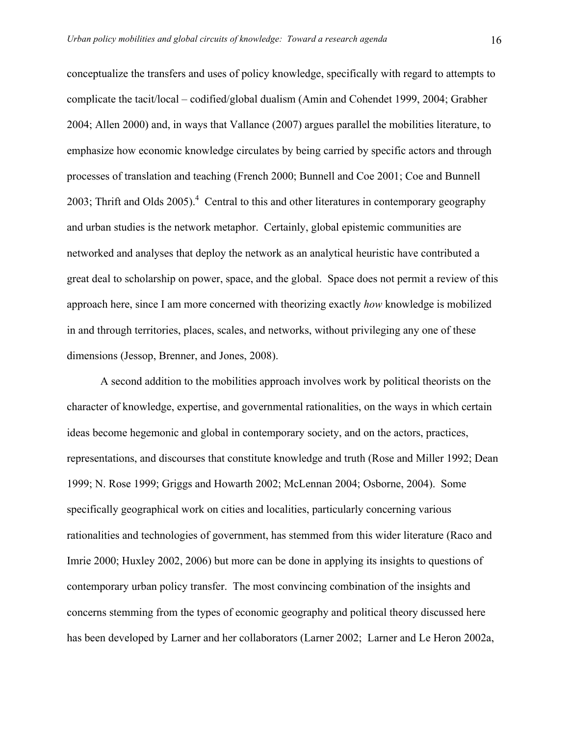conceptualize the transfers and uses of policy knowledge, specifically with regard to attempts to complicate the tacit/local – codified/global dualism (Amin and Cohendet 1999, 2004; Grabher 2004; Allen 2000) and, in ways that Vallance (2007) argues parallel the mobilities literature, to emphasize how economic knowledge circulates by being carried by specific actors and through processes of translation and teaching (French 2000; Bunnell and Coe 2001; Coe and Bunnell 2003; Thrift and Olds  $2005$ ).<sup>4</sup> Central to this and other literatures in contemporary geography and urban studies is the network metaphor. Certainly, global epistemic communities are networked and analyses that deploy the network as an analytical heuristic have contributed a great deal to scholarship on power, space, and the global. Space does not permit a review of this approach here, since I am more concerned with theorizing exactly *how* knowledge is mobilized in and through territories, places, scales, and networks, without privileging any one of these dimensions (Jessop, Brenner, and Jones, 2008).

A second addition to the mobilities approach involves work by political theorists on the character of knowledge, expertise, and governmental rationalities, on the ways in which certain ideas become hegemonic and global in contemporary society, and on the actors, practices, representations, and discourses that constitute knowledge and truth (Rose and Miller 1992; Dean 1999; N. Rose 1999; Griggs and Howarth 2002; McLennan 2004; Osborne, 2004). Some specifically geographical work on cities and localities, particularly concerning various rationalities and technologies of government, has stemmed from this wider literature (Raco and Imrie 2000; Huxley 2002, 2006) but more can be done in applying its insights to questions of contemporary urban policy transfer. The most convincing combination of the insights and concerns stemming from the types of economic geography and political theory discussed here has been developed by Larner and her collaborators (Larner 2002; Larner and Le Heron 2002a,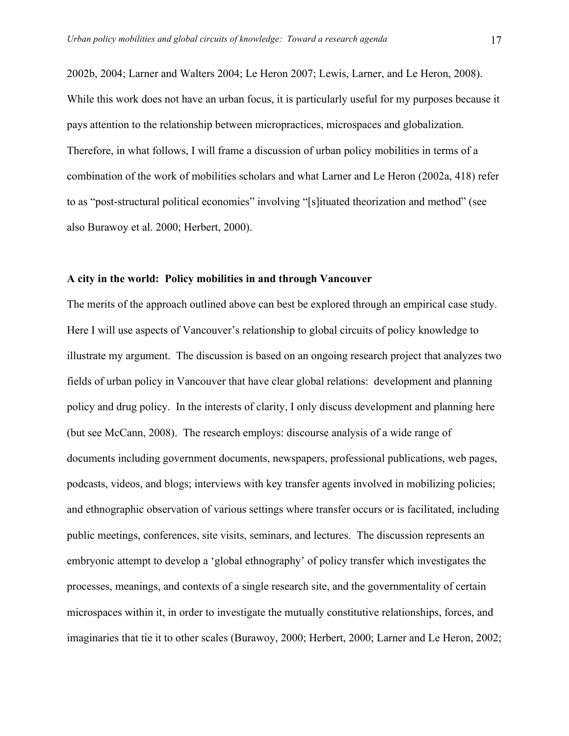2002b, 2004; Larner and Walters 2004; Le Heron 2007; Lewis, Larner, and Le Heron, 2008). While this work does not have an urban focus, it is particularly useful for my purposes because it pays attention to the relationship between micropractices, microspaces and globalization. Therefore, in what follows, I will frame a discussion of urban policy mobilities in terms of a combination of the work of mobilities scholars and what Larner and Le Heron (2002a, 418) refer to as "post-structural political economies" involving "[s]ituated theorization and method" (see also Burawoy et al. 2000; Herbert, 2000).

#### **A city in the world: Policy mobilities in and through Vancouver**

The merits of the approach outlined above can best be explored through an empirical case study. Here I will use aspects of Vancouver's relationship to global circuits of policy knowledge to illustrate my argument. The discussion is based on an ongoing research project that analyzes two fields of urban policy in Vancouver that have clear global relations: development and planning policy and drug policy. In the interests of clarity, I only discuss development and planning here (but see McCann, 2008). The research employs: discourse analysis of a wide range of documents including government documents, newspapers, professional publications, web pages, podcasts, videos, and blogs; interviews with key transfer agents involved in mobilizing policies; and ethnographic observation of various settings where transfer occurs or is facilitated, including public meetings, conferences, site visits, seminars, and lectures. The discussion represents an embryonic attempt to develop a 'global ethnography' of policy transfer which investigates the processes, meanings, and contexts of a single research site, and the governmentality of certain microspaces within it, in order to investigate the mutually constitutive relationships, forces, and imaginaries that tie it to other scales (Burawoy, 2000; Herbert, 2000; Larner and Le Heron, 2002;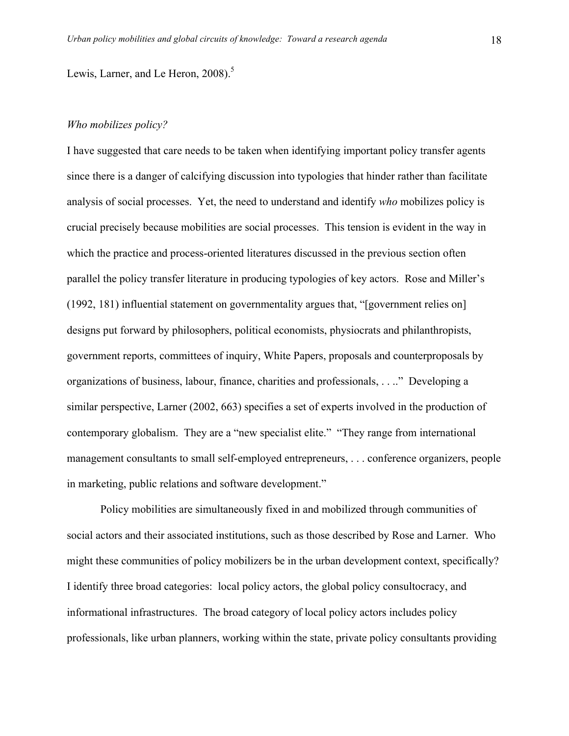Lewis, Larner, and Le Heron,  $2008$ ).<sup>5</sup>

#### *Who mobilizes policy?*

I have suggested that care needs to be taken when identifying important policy transfer agents since there is a danger of calcifying discussion into typologies that hinder rather than facilitate analysis of social processes. Yet, the need to understand and identify *who* mobilizes policy is crucial precisely because mobilities are social processes. This tension is evident in the way in which the practice and process-oriented literatures discussed in the previous section often parallel the policy transfer literature in producing typologies of key actors. Rose and Miller's (1992, 181) influential statement on governmentality argues that, "[government relies on] designs put forward by philosophers, political economists, physiocrats and philanthropists, government reports, committees of inquiry, White Papers, proposals and counterproposals by organizations of business, labour, finance, charities and professionals, . . .." Developing a similar perspective, Larner (2002, 663) specifies a set of experts involved in the production of contemporary globalism. They are a "new specialist elite." "They range from international management consultants to small self-employed entrepreneurs, . . . conference organizers, people in marketing, public relations and software development."

Policy mobilities are simultaneously fixed in and mobilized through communities of social actors and their associated institutions, such as those described by Rose and Larner. Who might these communities of policy mobilizers be in the urban development context, specifically? I identify three broad categories: local policy actors, the global policy consultocracy, and informational infrastructures. The broad category of local policy actors includes policy professionals, like urban planners, working within the state, private policy consultants providing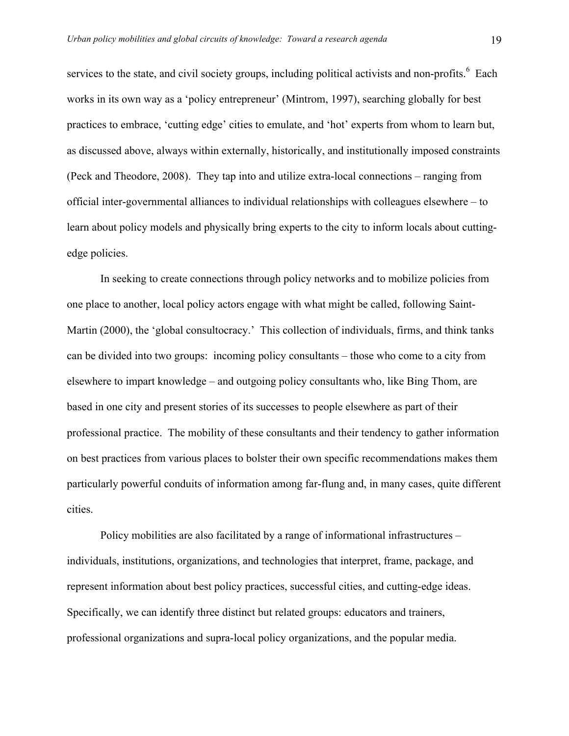services to the state, and civil society groups, including political activists and non-profits. <sup>6</sup> Each works in its own way as a 'policy entrepreneur' (Mintrom, 1997), searching globally for best practices to embrace, 'cutting edge' cities to emulate, and 'hot' experts from whom to learn but, as discussed above, always within externally, historically, and institutionally imposed constraints (Peck and Theodore, 2008). They tap into and utilize extra-local connections – ranging from official inter-governmental alliances to individual relationships with colleagues elsewhere – to learn about policy models and physically bring experts to the city to inform locals about cuttingedge policies.

In seeking to create connections through policy networks and to mobilize policies from one place to another, local policy actors engage with what might be called, following Saint-Martin (2000), the 'global consultocracy.' This collection of individuals, firms, and think tanks can be divided into two groups: incoming policy consultants – those who come to a city from elsewhere to impart knowledge – and outgoing policy consultants who, like Bing Thom, are based in one city and present stories of its successes to people elsewhere as part of their professional practice. The mobility of these consultants and their tendency to gather information on best practices from various places to bolster their own specific recommendations makes them particularly powerful conduits of information among far-flung and, in many cases, quite different cities.

Policy mobilities are also facilitated by a range of informational infrastructures – individuals, institutions, organizations, and technologies that interpret, frame, package, and represent information about best policy practices, successful cities, and cutting-edge ideas. Specifically, we can identify three distinct but related groups: educators and trainers, professional organizations and supra-local policy organizations, and the popular media.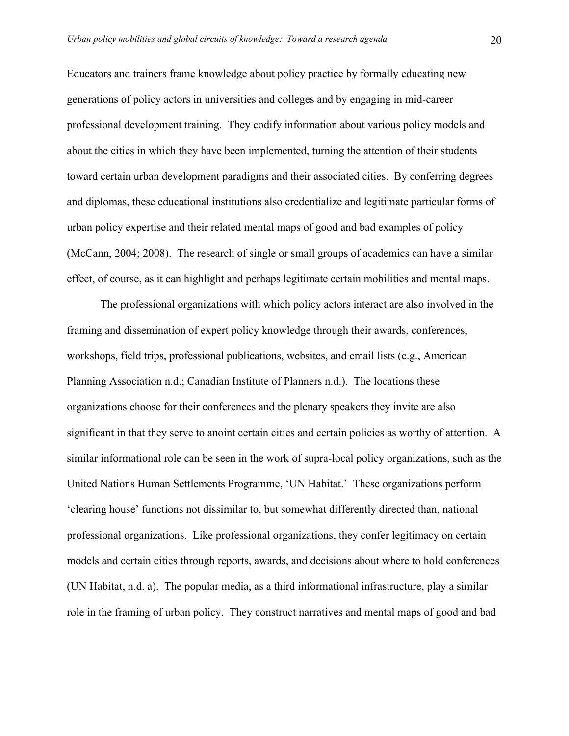Educators and trainers frame knowledge about policy practice by formally educating new generations of policy actors in universities and colleges and by engaging in mid-career professional development training. They codify information about various policy models and about the cities in which they have been implemented, turning the attention of their students toward certain urban development paradigms and their associated cities. By conferring degrees and diplomas, these educational institutions also credentialize and legitimate particular forms of urban policy expertise and their related mental maps of good and bad examples of policy (McCann, 2004; 2008). The research of single or small groups of academics can have a similar effect, of course, as it can highlight and perhaps legitimate certain mobilities and mental maps.

The professional organizations with which policy actors interact are also involved in the framing and dissemination of expert policy knowledge through their awards, conferences, workshops, field trips, professional publications, websites, and email lists (e.g., American Planning Association n.d.; Canadian Institute of Planners n.d.). The locations these organizations choose for their conferences and the plenary speakers they invite are also significant in that they serve to anoint certain cities and certain policies as worthy of attention. A similar informational role can be seen in the work of supra-local policy organizations, such as the United Nations Human Settlements Programme, 'UN Habitat.' These organizations perform 'clearing house' functions not dissimilar to, but somewhat differently directed than, national professional organizations. Like professional organizations, they confer legitimacy on certain models and certain cities through reports, awards, and decisions about where to hold conferences (UN Habitat, n.d. a). The popular media, as a third informational infrastructure, play a similar role in the framing of urban policy. They construct narratives and mental maps of good and bad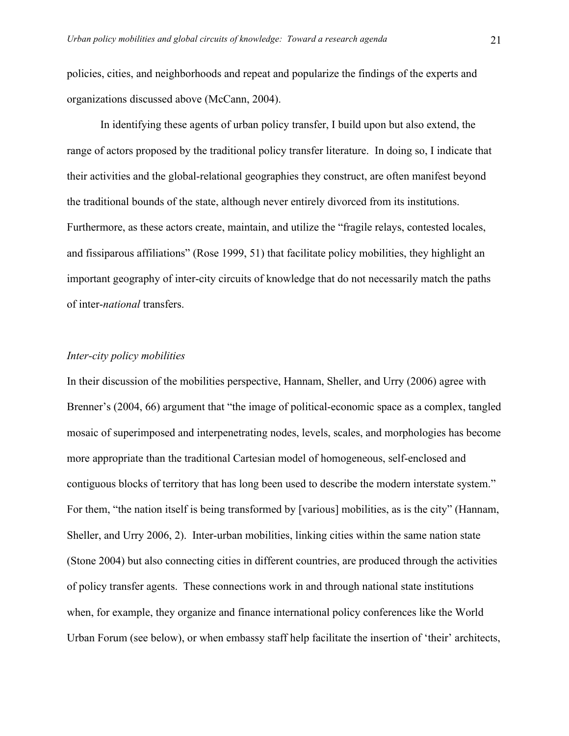policies, cities, and neighborhoods and repeat and popularize the findings of the experts and organizations discussed above (McCann, 2004).

In identifying these agents of urban policy transfer, I build upon but also extend, the range of actors proposed by the traditional policy transfer literature. In doing so, I indicate that their activities and the global-relational geographies they construct, are often manifest beyond the traditional bounds of the state, although never entirely divorced from its institutions. Furthermore, as these actors create, maintain, and utilize the "fragile relays, contested locales, and fissiparous affiliations" (Rose 1999, 51) that facilitate policy mobilities, they highlight an important geography of inter-city circuits of knowledge that do not necessarily match the paths of inter-*national* transfers.

#### *Inter-city policy mobilities*

In their discussion of the mobilities perspective, Hannam, Sheller, and Urry (2006) agree with Brenner's (2004, 66) argument that "the image of political-economic space as a complex, tangled mosaic of superimposed and interpenetrating nodes, levels, scales, and morphologies has become more appropriate than the traditional Cartesian model of homogeneous, self-enclosed and contiguous blocks of territory that has long been used to describe the modern interstate system." For them, "the nation itself is being transformed by [various] mobilities, as is the city" (Hannam, Sheller, and Urry 2006, 2). Inter-urban mobilities, linking cities within the same nation state (Stone 2004) but also connecting cities in different countries, are produced through the activities of policy transfer agents. These connections work in and through national state institutions when, for example, they organize and finance international policy conferences like the World Urban Forum (see below), or when embassy staff help facilitate the insertion of 'their' architects,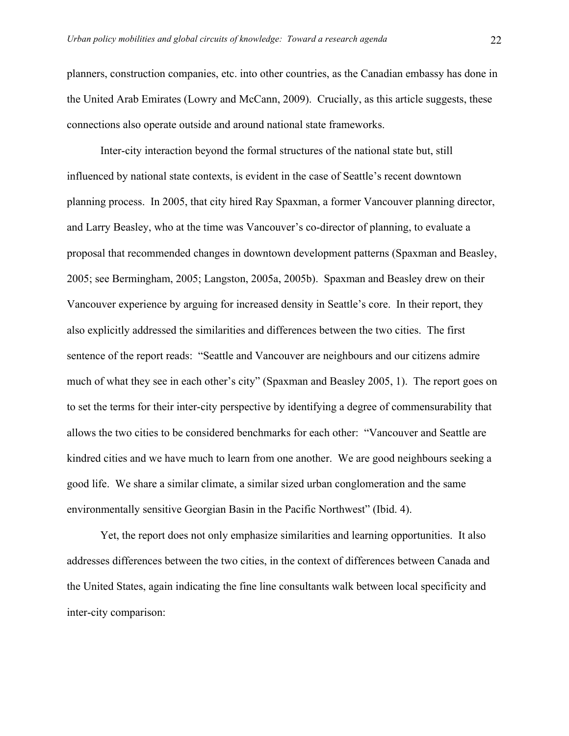planners, construction companies, etc. into other countries, as the Canadian embassy has done in the United Arab Emirates (Lowry and McCann, 2009). Crucially, as this article suggests, these connections also operate outside and around national state frameworks.

Inter-city interaction beyond the formal structures of the national state but, still influenced by national state contexts, is evident in the case of Seattle's recent downtown planning process. In 2005, that city hired Ray Spaxman, a former Vancouver planning director, and Larry Beasley, who at the time was Vancouver's co-director of planning, to evaluate a proposal that recommended changes in downtown development patterns (Spaxman and Beasley, 2005; see Bermingham, 2005; Langston, 2005a, 2005b). Spaxman and Beasley drew on their Vancouver experience by arguing for increased density in Seattle's core. In their report, they also explicitly addressed the similarities and differences between the two cities. The first sentence of the report reads: "Seattle and Vancouver are neighbours and our citizens admire much of what they see in each other's city" (Spaxman and Beasley 2005, 1). The report goes on to set the terms for their inter-city perspective by identifying a degree of commensurability that allows the two cities to be considered benchmarks for each other: "Vancouver and Seattle are kindred cities and we have much to learn from one another. We are good neighbours seeking a good life. We share a similar climate, a similar sized urban conglomeration and the same environmentally sensitive Georgian Basin in the Pacific Northwest" (Ibid. 4).

Yet, the report does not only emphasize similarities and learning opportunities. It also addresses differences between the two cities, in the context of differences between Canada and the United States, again indicating the fine line consultants walk between local specificity and inter-city comparison: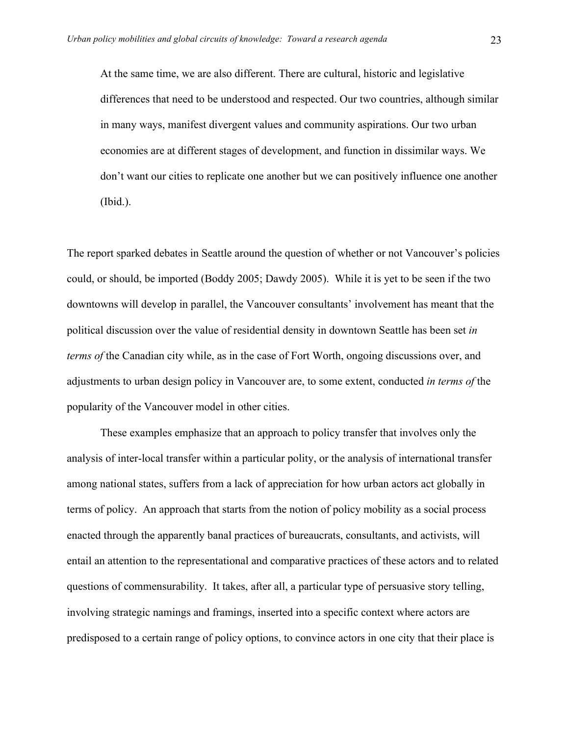At the same time, we are also different. There are cultural, historic and legislative differences that need to be understood and respected. Our two countries, although similar in many ways, manifest divergent values and community aspirations. Our two urban economies are at different stages of development, and function in dissimilar ways. We don't want our cities to replicate one another but we can positively influence one another (Ibid.).

The report sparked debates in Seattle around the question of whether or not Vancouver's policies could, or should, be imported (Boddy 2005; Dawdy 2005). While it is yet to be seen if the two downtowns will develop in parallel, the Vancouver consultants' involvement has meant that the political discussion over the value of residential density in downtown Seattle has been set *in terms of* the Canadian city while, as in the case of Fort Worth, ongoing discussions over, and adjustments to urban design policy in Vancouver are, to some extent, conducted *in terms of* the popularity of the Vancouver model in other cities.

These examples emphasize that an approach to policy transfer that involves only the analysis of inter-local transfer within a particular polity, or the analysis of international transfer among national states, suffers from a lack of appreciation for how urban actors act globally in terms of policy. An approach that starts from the notion of policy mobility as a social process enacted through the apparently banal practices of bureaucrats, consultants, and activists, will entail an attention to the representational and comparative practices of these actors and to related questions of commensurability. It takes, after all, a particular type of persuasive story telling, involving strategic namings and framings, inserted into a specific context where actors are predisposed to a certain range of policy options, to convince actors in one city that their place is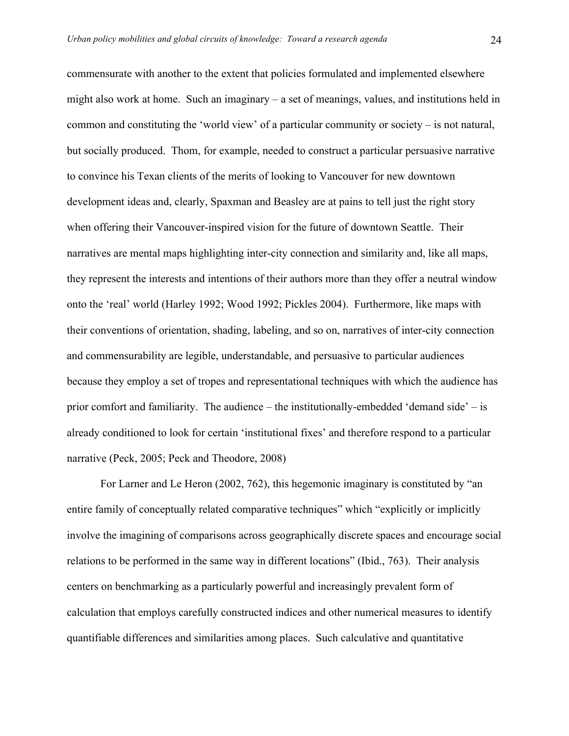commensurate with another to the extent that policies formulated and implemented elsewhere might also work at home. Such an imaginary – a set of meanings, values, and institutions held in common and constituting the 'world view' of a particular community or society – is not natural, but socially produced. Thom, for example, needed to construct a particular persuasive narrative to convince his Texan clients of the merits of looking to Vancouver for new downtown development ideas and, clearly, Spaxman and Beasley are at pains to tell just the right story when offering their Vancouver-inspired vision for the future of downtown Seattle. Their narratives are mental maps highlighting inter-city connection and similarity and, like all maps, they represent the interests and intentions of their authors more than they offer a neutral window onto the 'real' world (Harley 1992; Wood 1992; Pickles 2004). Furthermore, like maps with their conventions of orientation, shading, labeling, and so on, narratives of inter-city connection and commensurability are legible, understandable, and persuasive to particular audiences because they employ a set of tropes and representational techniques with which the audience has prior comfort and familiarity. The audience – the institutionally-embedded 'demand side' – is already conditioned to look for certain 'institutional fixes' and therefore respond to a particular narrative (Peck, 2005; Peck and Theodore, 2008)

For Larner and Le Heron (2002, 762), this hegemonic imaginary is constituted by "an entire family of conceptually related comparative techniques" which "explicitly or implicitly involve the imagining of comparisons across geographically discrete spaces and encourage social relations to be performed in the same way in different locations" (Ibid., 763). Their analysis centers on benchmarking as a particularly powerful and increasingly prevalent form of calculation that employs carefully constructed indices and other numerical measures to identify quantifiable differences and similarities among places. Such calculative and quantitative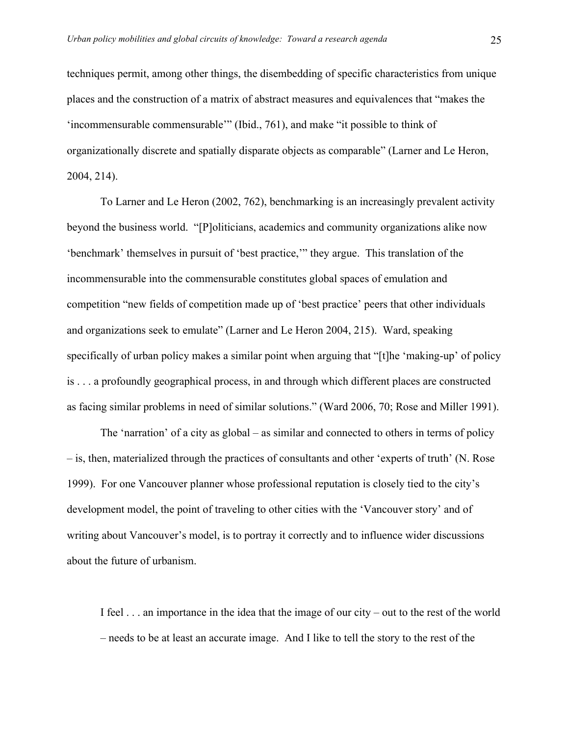techniques permit, among other things, the disembedding of specific characteristics from unique places and the construction of a matrix of abstract measures and equivalences that "makes the 'incommensurable commensurable'" (Ibid., 761), and make "it possible to think of organizationally discrete and spatially disparate objects as comparable" (Larner and Le Heron, 2004, 214).

To Larner and Le Heron (2002, 762), benchmarking is an increasingly prevalent activity beyond the business world. "[P]oliticians, academics and community organizations alike now 'benchmark' themselves in pursuit of 'best practice,'" they argue. This translation of the incommensurable into the commensurable constitutes global spaces of emulation and competition "new fields of competition made up of 'best practice' peers that other individuals and organizations seek to emulate" (Larner and Le Heron 2004, 215). Ward, speaking specifically of urban policy makes a similar point when arguing that "[t]he 'making-up' of policy is . . . a profoundly geographical process, in and through which different places are constructed as facing similar problems in need of similar solutions." (Ward 2006, 70; Rose and Miller 1991).

The 'narration' of a city as global – as similar and connected to others in terms of policy – is, then, materialized through the practices of consultants and other 'experts of truth' (N. Rose 1999). For one Vancouver planner whose professional reputation is closely tied to the city's development model, the point of traveling to other cities with the 'Vancouver story' and of writing about Vancouver's model, is to portray it correctly and to influence wider discussions about the future of urbanism.

I feel . . . an importance in the idea that the image of our city – out to the rest of the world – needs to be at least an accurate image. And I like to tell the story to the rest of the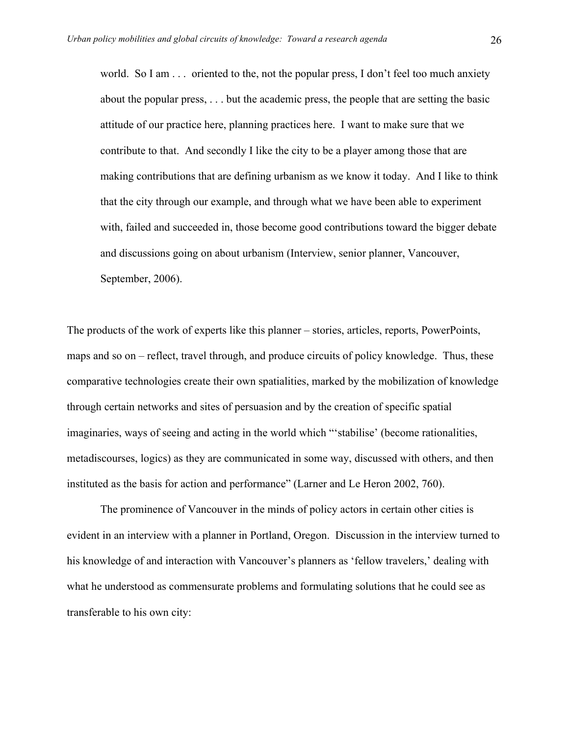world. So I am  $\ldots$  oriented to the, not the popular press, I don't feel too much anxiety about the popular press, . . . but the academic press, the people that are setting the basic attitude of our practice here, planning practices here. I want to make sure that we contribute to that. And secondly I like the city to be a player among those that are making contributions that are defining urbanism as we know it today. And I like to think that the city through our example, and through what we have been able to experiment with, failed and succeeded in, those become good contributions toward the bigger debate and discussions going on about urbanism (Interview, senior planner, Vancouver, September, 2006).

The products of the work of experts like this planner – stories, articles, reports, PowerPoints, maps and so on – reflect, travel through, and produce circuits of policy knowledge. Thus, these comparative technologies create their own spatialities, marked by the mobilization of knowledge through certain networks and sites of persuasion and by the creation of specific spatial imaginaries, ways of seeing and acting in the world which "'stabilise' (become rationalities, metadiscourses, logics) as they are communicated in some way, discussed with others, and then instituted as the basis for action and performance" (Larner and Le Heron 2002, 760).

The prominence of Vancouver in the minds of policy actors in certain other cities is evident in an interview with a planner in Portland, Oregon. Discussion in the interview turned to his knowledge of and interaction with Vancouver's planners as 'fellow travelers,' dealing with what he understood as commensurate problems and formulating solutions that he could see as transferable to his own city: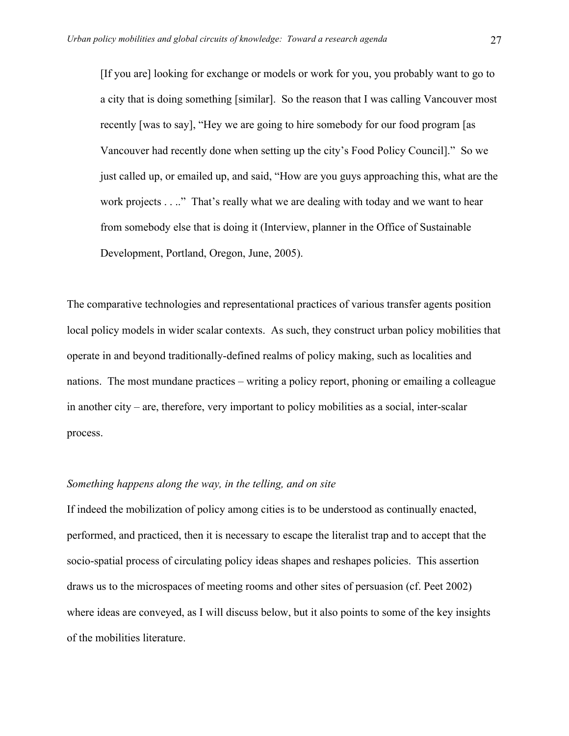[If you are] looking for exchange or models or work for you, you probably want to go to a city that is doing something [similar]. So the reason that I was calling Vancouver most recently [was to say], "Hey we are going to hire somebody for our food program [as Vancouver had recently done when setting up the city's Food Policy Council]." So we just called up, or emailed up, and said, "How are you guys approaching this, what are the work projects . . .." That's really what we are dealing with today and we want to hear from somebody else that is doing it (Interview, planner in the Office of Sustainable Development, Portland, Oregon, June, 2005).

The comparative technologies and representational practices of various transfer agents position local policy models in wider scalar contexts. As such, they construct urban policy mobilities that operate in and beyond traditionally-defined realms of policy making, such as localities and nations. The most mundane practices – writing a policy report, phoning or emailing a colleague in another city – are, therefore, very important to policy mobilities as a social, inter-scalar process.

### *Something happens along the way, in the telling, and on site*

If indeed the mobilization of policy among cities is to be understood as continually enacted, performed, and practiced, then it is necessary to escape the literalist trap and to accept that the socio-spatial process of circulating policy ideas shapes and reshapes policies. This assertion draws us to the microspaces of meeting rooms and other sites of persuasion (cf. Peet 2002) where ideas are conveyed, as I will discuss below, but it also points to some of the key insights of the mobilities literature.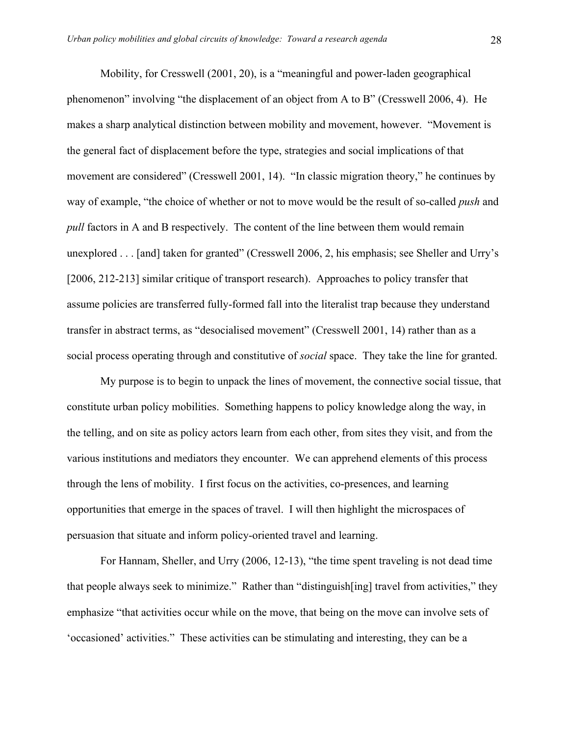Mobility, for Cresswell (2001, 20), is a "meaningful and power-laden geographical phenomenon" involving "the displacement of an object from A to B" (Cresswell 2006, 4). He makes a sharp analytical distinction between mobility and movement, however. "Movement is the general fact of displacement before the type, strategies and social implications of that movement are considered" (Cresswell 2001, 14). "In classic migration theory," he continues by way of example, "the choice of whether or not to move would be the result of so-called *push* and *pull* factors in A and B respectively. The content of the line between them would remain unexplored . . . [and] taken for granted" (Cresswell 2006, 2, his emphasis; see Sheller and Urry's [2006, 212-213] similar critique of transport research). Approaches to policy transfer that assume policies are transferred fully-formed fall into the literalist trap because they understand transfer in abstract terms, as "desocialised movement" (Cresswell 2001, 14) rather than as a social process operating through and constitutive of *social* space. They take the line for granted.

My purpose is to begin to unpack the lines of movement, the connective social tissue, that constitute urban policy mobilities. Something happens to policy knowledge along the way, in the telling, and on site as policy actors learn from each other, from sites they visit, and from the various institutions and mediators they encounter. We can apprehend elements of this process through the lens of mobility. I first focus on the activities, co-presences, and learning opportunities that emerge in the spaces of travel. I will then highlight the microspaces of persuasion that situate and inform policy-oriented travel and learning.

For Hannam, Sheller, and Urry (2006, 12-13), "the time spent traveling is not dead time that people always seek to minimize." Rather than "distinguish[ing] travel from activities," they emphasize "that activities occur while on the move, that being on the move can involve sets of 'occasioned' activities." These activities can be stimulating and interesting, they can be a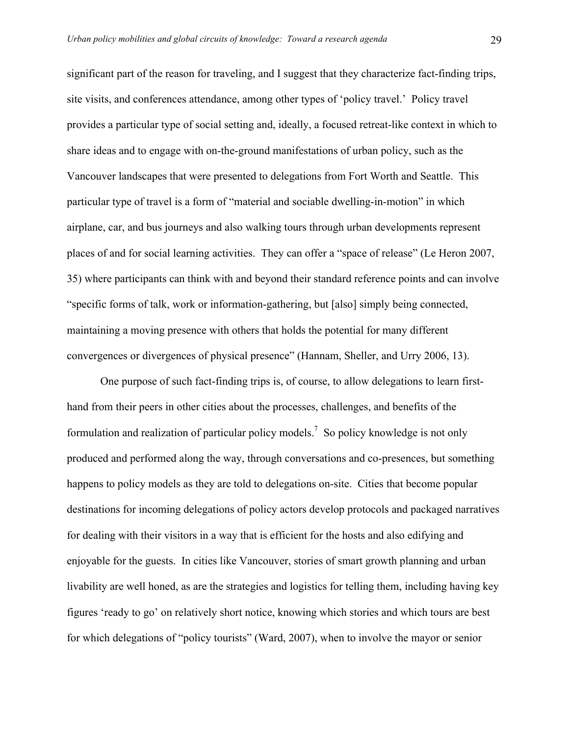significant part of the reason for traveling, and I suggest that they characterize fact-finding trips, site visits, and conferences attendance, among other types of 'policy travel.' Policy travel provides a particular type of social setting and, ideally, a focused retreat-like context in which to share ideas and to engage with on-the-ground manifestations of urban policy, such as the Vancouver landscapes that were presented to delegations from Fort Worth and Seattle. This particular type of travel is a form of "material and sociable dwelling-in-motion" in which airplane, car, and bus journeys and also walking tours through urban developments represent places of and for social learning activities. They can offer a "space of release" (Le Heron 2007, 35) where participants can think with and beyond their standard reference points and can involve "specific forms of talk, work or information-gathering, but [also] simply being connected, maintaining a moving presence with others that holds the potential for many different convergences or divergences of physical presence" (Hannam, Sheller, and Urry 2006, 13).

One purpose of such fact-finding trips is, of course, to allow delegations to learn firsthand from their peers in other cities about the processes, challenges, and benefits of the formulation and realization of particular policy models.<sup>7</sup> So policy knowledge is not only produced and performed along the way, through conversations and co-presences, but something happens to policy models as they are told to delegations on-site. Cities that become popular destinations for incoming delegations of policy actors develop protocols and packaged narratives for dealing with their visitors in a way that is efficient for the hosts and also edifying and enjoyable for the guests. In cities like Vancouver, stories of smart growth planning and urban livability are well honed, as are the strategies and logistics for telling them, including having key figures 'ready to go' on relatively short notice, knowing which stories and which tours are best for which delegations of "policy tourists" (Ward, 2007), when to involve the mayor or senior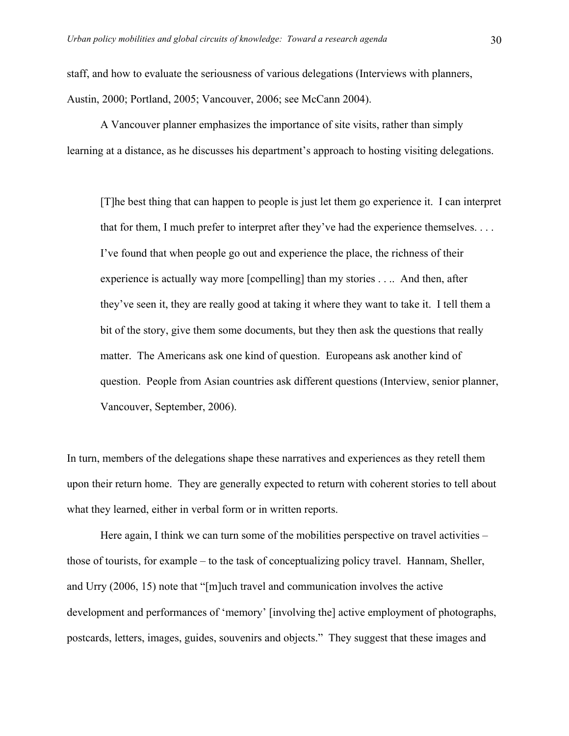staff, and how to evaluate the seriousness of various delegations (Interviews with planners, Austin, 2000; Portland, 2005; Vancouver, 2006; see McCann 2004).

A Vancouver planner emphasizes the importance of site visits, rather than simply learning at a distance, as he discusses his department's approach to hosting visiting delegations.

[T]he best thing that can happen to people is just let them go experience it. I can interpret that for them, I much prefer to interpret after they've had the experience themselves. . . . I've found that when people go out and experience the place, the richness of their experience is actually way more [compelling] than my stories . . .. And then, after they've seen it, they are really good at taking it where they want to take it. I tell them a bit of the story, give them some documents, but they then ask the questions that really matter. The Americans ask one kind of question. Europeans ask another kind of question. People from Asian countries ask different questions (Interview, senior planner, Vancouver, September, 2006).

In turn, members of the delegations shape these narratives and experiences as they retell them upon their return home. They are generally expected to return with coherent stories to tell about what they learned, either in verbal form or in written reports.

Here again, I think we can turn some of the mobilities perspective on travel activities – those of tourists, for example – to the task of conceptualizing policy travel. Hannam, Sheller, and Urry (2006, 15) note that "[m]uch travel and communication involves the active development and performances of 'memory' [involving the] active employment of photographs, postcards, letters, images, guides, souvenirs and objects." They suggest that these images and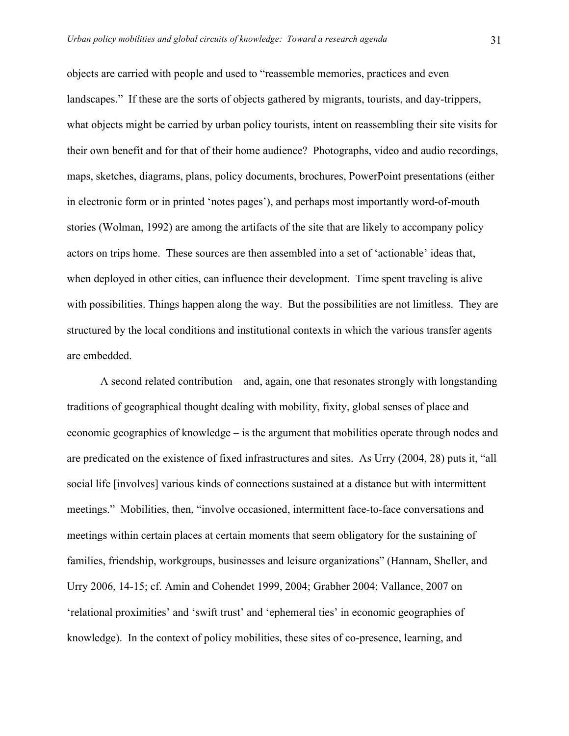objects are carried with people and used to "reassemble memories, practices and even landscapes." If these are the sorts of objects gathered by migrants, tourists, and day-trippers, what objects might be carried by urban policy tourists, intent on reassembling their site visits for their own benefit and for that of their home audience? Photographs, video and audio recordings, maps, sketches, diagrams, plans, policy documents, brochures, PowerPoint presentations (either in electronic form or in printed 'notes pages'), and perhaps most importantly word-of-mouth stories (Wolman, 1992) are among the artifacts of the site that are likely to accompany policy actors on trips home. These sources are then assembled into a set of 'actionable' ideas that, when deployed in other cities, can influence their development. Time spent traveling is alive with possibilities. Things happen along the way. But the possibilities are not limitless. They are structured by the local conditions and institutional contexts in which the various transfer agents are embedded.

A second related contribution – and, again, one that resonates strongly with longstanding traditions of geographical thought dealing with mobility, fixity, global senses of place and economic geographies of knowledge – is the argument that mobilities operate through nodes and are predicated on the existence of fixed infrastructures and sites. As Urry (2004, 28) puts it, "all social life [involves] various kinds of connections sustained at a distance but with intermittent meetings." Mobilities, then, "involve occasioned, intermittent face-to-face conversations and meetings within certain places at certain moments that seem obligatory for the sustaining of families, friendship, workgroups, businesses and leisure organizations" (Hannam, Sheller, and Urry 2006, 14-15; cf. Amin and Cohendet 1999, 2004; Grabher 2004; Vallance, 2007 on 'relational proximities' and 'swift trust' and 'ephemeral ties' in economic geographies of knowledge). In the context of policy mobilities, these sites of co-presence, learning, and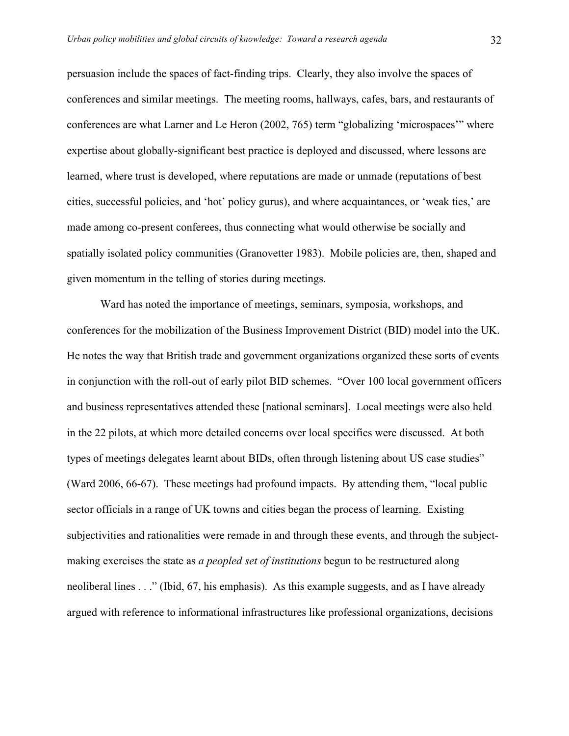persuasion include the spaces of fact-finding trips. Clearly, they also involve the spaces of conferences and similar meetings. The meeting rooms, hallways, cafes, bars, and restaurants of conferences are what Larner and Le Heron (2002, 765) term "globalizing 'microspaces'" where expertise about globally-significant best practice is deployed and discussed, where lessons are learned, where trust is developed, where reputations are made or unmade (reputations of best cities, successful policies, and 'hot' policy gurus), and where acquaintances, or 'weak ties,' are made among co-present conferees, thus connecting what would otherwise be socially and spatially isolated policy communities (Granovetter 1983). Mobile policies are, then, shaped and given momentum in the telling of stories during meetings.

Ward has noted the importance of meetings, seminars, symposia, workshops, and conferences for the mobilization of the Business Improvement District (BID) model into the UK. He notes the way that British trade and government organizations organized these sorts of events in conjunction with the roll-out of early pilot BID schemes. "Over 100 local government officers and business representatives attended these [national seminars]. Local meetings were also held in the 22 pilots, at which more detailed concerns over local specifics were discussed. At both types of meetings delegates learnt about BIDs, often through listening about US case studies" (Ward 2006, 66-67). These meetings had profound impacts. By attending them, "local public sector officials in a range of UK towns and cities began the process of learning. Existing subjectivities and rationalities were remade in and through these events, and through the subjectmaking exercises the state as *a peopled set of institutions* begun to be restructured along neoliberal lines . . ." (Ibid, 67, his emphasis). As this example suggests, and as I have already argued with reference to informational infrastructures like professional organizations, decisions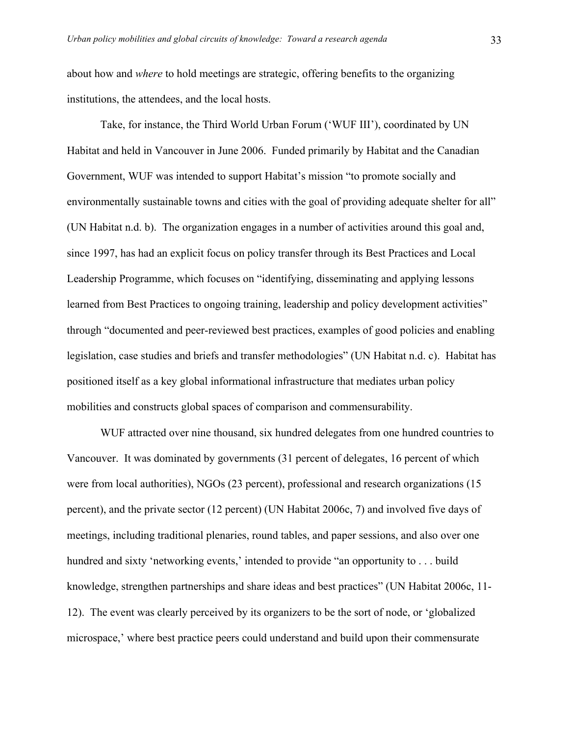about how and *where* to hold meetings are strategic, offering benefits to the organizing institutions, the attendees, and the local hosts.

Take, for instance, the Third World Urban Forum ('WUF III'), coordinated by UN Habitat and held in Vancouver in June 2006. Funded primarily by Habitat and the Canadian Government, WUF was intended to support Habitat's mission "to promote socially and environmentally sustainable towns and cities with the goal of providing adequate shelter for all" (UN Habitat n.d. b). The organization engages in a number of activities around this goal and, since 1997, has had an explicit focus on policy transfer through its Best Practices and Local Leadership Programme, which focuses on "identifying, disseminating and applying lessons learned from Best Practices to ongoing training, leadership and policy development activities" through "documented and peer-reviewed best practices, examples of good policies and enabling legislation, case studies and briefs and transfer methodologies" (UN Habitat n.d. c). Habitat has positioned itself as a key global informational infrastructure that mediates urban policy mobilities and constructs global spaces of comparison and commensurability.

WUF attracted over nine thousand, six hundred delegates from one hundred countries to Vancouver. It was dominated by governments (31 percent of delegates, 16 percent of which were from local authorities), NGOs (23 percent), professional and research organizations (15 percent), and the private sector (12 percent) (UN Habitat 2006c, 7) and involved five days of meetings, including traditional plenaries, round tables, and paper sessions, and also over one hundred and sixty 'networking events,' intended to provide "an opportunity to . . . build knowledge, strengthen partnerships and share ideas and best practices" (UN Habitat 2006c, 11- 12). The event was clearly perceived by its organizers to be the sort of node, or 'globalized microspace,' where best practice peers could understand and build upon their commensurate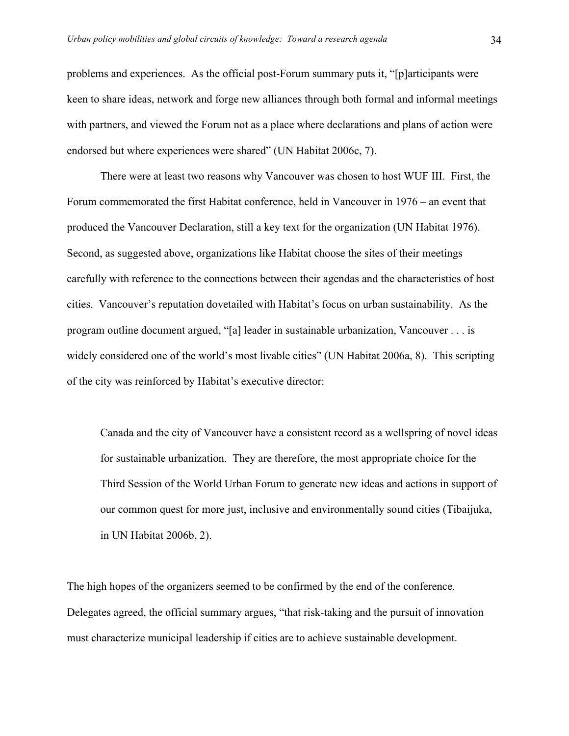problems and experiences. As the official post-Forum summary puts it, "[p]articipants were keen to share ideas, network and forge new alliances through both formal and informal meetings with partners, and viewed the Forum not as a place where declarations and plans of action were endorsed but where experiences were shared" (UN Habitat 2006c, 7).

There were at least two reasons why Vancouver was chosen to host WUF III. First, the Forum commemorated the first Habitat conference, held in Vancouver in 1976 – an event that produced the Vancouver Declaration, still a key text for the organization (UN Habitat 1976). Second, as suggested above, organizations like Habitat choose the sites of their meetings carefully with reference to the connections between their agendas and the characteristics of host cities. Vancouver's reputation dovetailed with Habitat's focus on urban sustainability. As the program outline document argued, "[a] leader in sustainable urbanization, Vancouver . . . is widely considered one of the world's most livable cities" (UN Habitat 2006a, 8). This scripting of the city was reinforced by Habitat's executive director:

Canada and the city of Vancouver have a consistent record as a wellspring of novel ideas for sustainable urbanization. They are therefore, the most appropriate choice for the Third Session of the World Urban Forum to generate new ideas and actions in support of our common quest for more just, inclusive and environmentally sound cities (Tibaijuka, in UN Habitat 2006b, 2).

The high hopes of the organizers seemed to be confirmed by the end of the conference. Delegates agreed, the official summary argues, "that risk-taking and the pursuit of innovation must characterize municipal leadership if cities are to achieve sustainable development.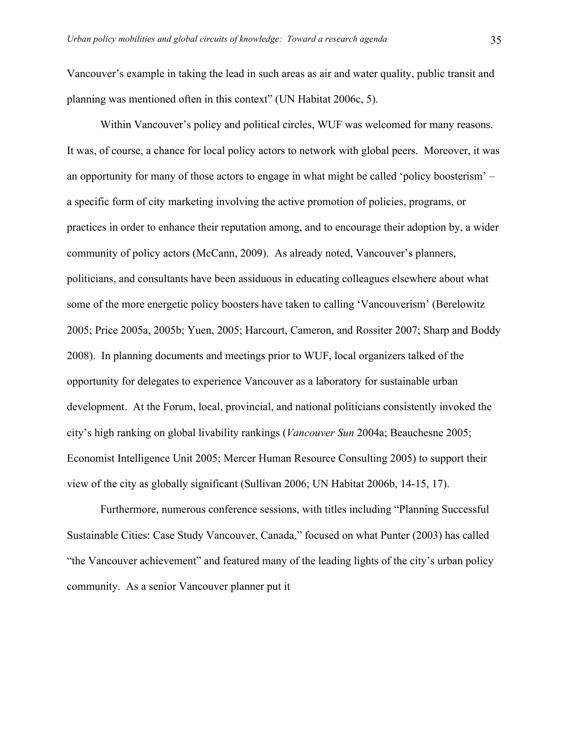Vancouver's example in taking the lead in such areas as air and water quality, public transit and planning was mentioned often in this context" (UN Habitat 2006c, 5).

Within Vancouver's policy and political circles, WUF was welcomed for many reasons. It was, of course, a chance for local policy actors to network with global peers. Moreover, it was an opportunity for many of those actors to engage in what might be called 'policy boosterism' – a specific form of city marketing involving the active promotion of policies, programs, or practices in order to enhance their reputation among, and to encourage their adoption by, a wider community of policy actors (McCann, 2009). As already noted, Vancouver's planners, politicians, and consultants have been assiduous in educating colleagues elsewhere about what some of the more energetic policy boosters have taken to calling 'Vancouverism' (Berelowitz 2005; Price 2005a, 2005b; Yuen, 2005; Harcourt, Cameron, and Rossiter 2007; Sharp and Boddy 2008). In planning documents and meetings prior to WUF, local organizers talked of the opportunity for delegates to experience Vancouver as a laboratory for sustainable urban development. At the Forum, local, provincial, and national politicians consistently invoked the city's high ranking on global livability rankings (*Vancouver Sun* 2004a; Beauchesne 2005; Economist Intelligence Unit 2005; Mercer Human Resource Consulting 2005) to support their view of the city as globally significant (Sullivan 2006; UN Habitat 2006b, 14-15, 17).

Furthermore, numerous conference sessions, with titles including "Planning Successful Sustainable Cities: Case Study Vancouver, Canada," focused on what Punter (2003) has called "the Vancouver achievement" and featured many of the leading lights of the city's urban policy community. As a senior Vancouver planner put it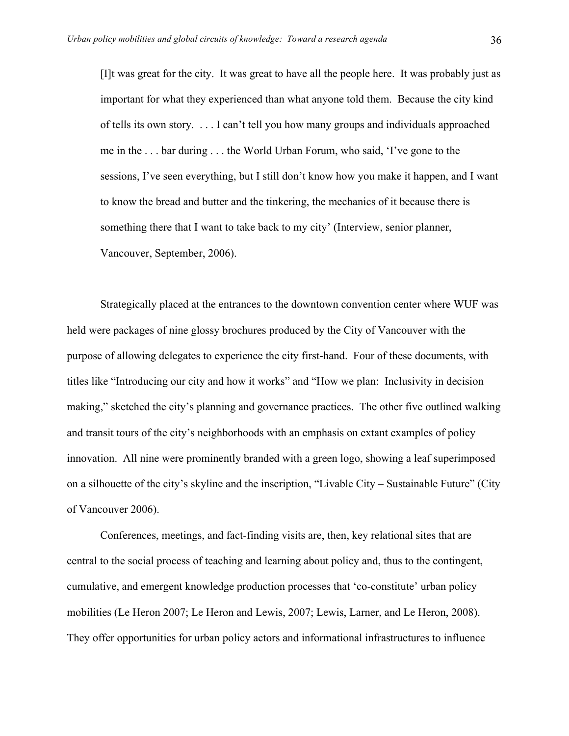[I]t was great for the city. It was great to have all the people here. It was probably just as important for what they experienced than what anyone told them. Because the city kind of tells its own story. . . . I can't tell you how many groups and individuals approached me in the . . . bar during . . . the World Urban Forum, who said, 'I've gone to the sessions, I've seen everything, but I still don't know how you make it happen, and I want to know the bread and butter and the tinkering, the mechanics of it because there is something there that I want to take back to my city' (Interview, senior planner, Vancouver, September, 2006).

Strategically placed at the entrances to the downtown convention center where WUF was held were packages of nine glossy brochures produced by the City of Vancouver with the purpose of allowing delegates to experience the city first-hand. Four of these documents, with titles like "Introducing our city and how it works" and "How we plan: Inclusivity in decision making," sketched the city's planning and governance practices. The other five outlined walking and transit tours of the city's neighborhoods with an emphasis on extant examples of policy innovation. All nine were prominently branded with a green logo, showing a leaf superimposed on a silhouette of the city's skyline and the inscription, "Livable City – Sustainable Future" (City of Vancouver 2006).

Conferences, meetings, and fact-finding visits are, then, key relational sites that are central to the social process of teaching and learning about policy and, thus to the contingent, cumulative, and emergent knowledge production processes that 'co-constitute' urban policy mobilities (Le Heron 2007; Le Heron and Lewis, 2007; Lewis, Larner, and Le Heron, 2008). They offer opportunities for urban policy actors and informational infrastructures to influence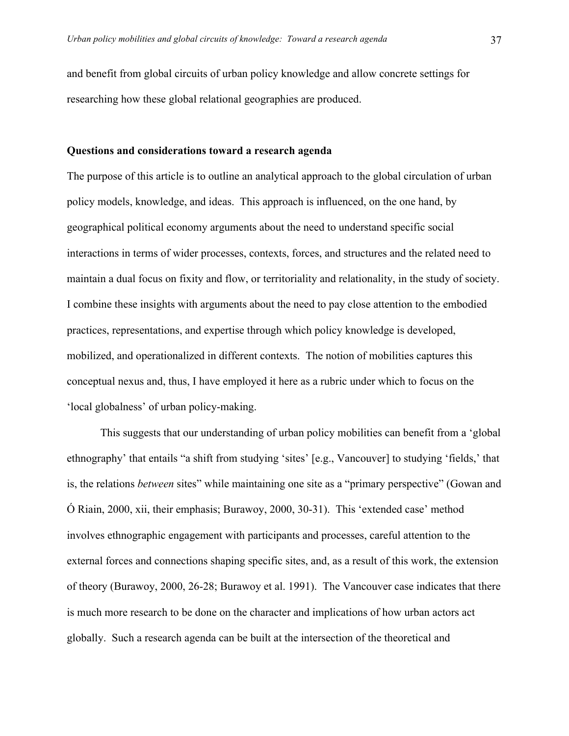and benefit from global circuits of urban policy knowledge and allow concrete settings for researching how these global relational geographies are produced.

#### **Questions and considerations toward a research agenda**

The purpose of this article is to outline an analytical approach to the global circulation of urban policy models, knowledge, and ideas. This approach is influenced, on the one hand, by geographical political economy arguments about the need to understand specific social interactions in terms of wider processes, contexts, forces, and structures and the related need to maintain a dual focus on fixity and flow, or territoriality and relationality, in the study of society. I combine these insights with arguments about the need to pay close attention to the embodied practices, representations, and expertise through which policy knowledge is developed, mobilized, and operationalized in different contexts. The notion of mobilities captures this conceptual nexus and, thus, I have employed it here as a rubric under which to focus on the 'local globalness' of urban policy-making.

This suggests that our understanding of urban policy mobilities can benefit from a 'global ethnography' that entails "a shift from studying 'sites' [e.g., Vancouver] to studying 'fields,' that is, the relations *between* sites" while maintaining one site as a "primary perspective" (Gowan and Ó Riain, 2000, xii, their emphasis; Burawoy, 2000, 30-31). This 'extended case' method involves ethnographic engagement with participants and processes, careful attention to the external forces and connections shaping specific sites, and, as a result of this work, the extension of theory (Burawoy, 2000, 26-28; Burawoy et al. 1991). The Vancouver case indicates that there is much more research to be done on the character and implications of how urban actors act globally. Such a research agenda can be built at the intersection of the theoretical and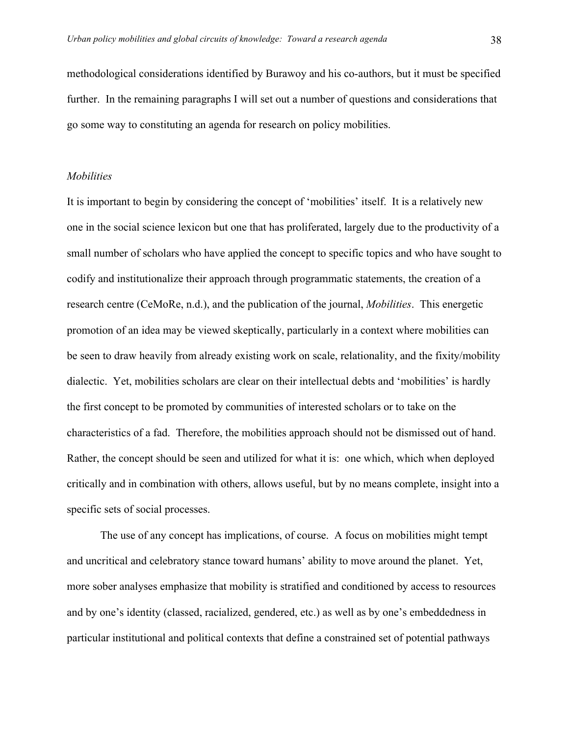methodological considerations identified by Burawoy and his co-authors, but it must be specified further. In the remaining paragraphs I will set out a number of questions and considerations that go some way to constituting an agenda for research on policy mobilities.

#### *Mobilities*

It is important to begin by considering the concept of 'mobilities' itself. It is a relatively new one in the social science lexicon but one that has proliferated, largely due to the productivity of a small number of scholars who have applied the concept to specific topics and who have sought to codify and institutionalize their approach through programmatic statements, the creation of a research centre (CeMoRe, n.d.), and the publication of the journal, *Mobilities*. This energetic promotion of an idea may be viewed skeptically, particularly in a context where mobilities can be seen to draw heavily from already existing work on scale, relationality, and the fixity/mobility dialectic. Yet, mobilities scholars are clear on their intellectual debts and 'mobilities' is hardly the first concept to be promoted by communities of interested scholars or to take on the characteristics of a fad. Therefore, the mobilities approach should not be dismissed out of hand. Rather, the concept should be seen and utilized for what it is: one which, which when deployed critically and in combination with others, allows useful, but by no means complete, insight into a specific sets of social processes.

The use of any concept has implications, of course. A focus on mobilities might tempt and uncritical and celebratory stance toward humans' ability to move around the planet. Yet, more sober analyses emphasize that mobility is stratified and conditioned by access to resources and by one's identity (classed, racialized, gendered, etc.) as well as by one's embeddedness in particular institutional and political contexts that define a constrained set of potential pathways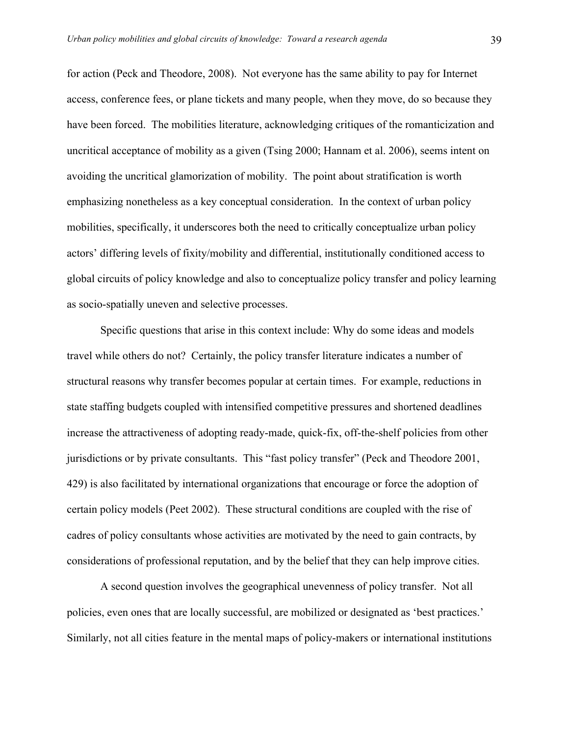for action (Peck and Theodore, 2008). Not everyone has the same ability to pay for Internet access, conference fees, or plane tickets and many people, when they move, do so because they have been forced. The mobilities literature, acknowledging critiques of the romanticization and uncritical acceptance of mobility as a given (Tsing 2000; Hannam et al. 2006), seems intent on avoiding the uncritical glamorization of mobility. The point about stratification is worth emphasizing nonetheless as a key conceptual consideration. In the context of urban policy mobilities, specifically, it underscores both the need to critically conceptualize urban policy actors' differing levels of fixity/mobility and differential, institutionally conditioned access to global circuits of policy knowledge and also to conceptualize policy transfer and policy learning as socio-spatially uneven and selective processes.

Specific questions that arise in this context include: Why do some ideas and models travel while others do not? Certainly, the policy transfer literature indicates a number of structural reasons why transfer becomes popular at certain times. For example, reductions in state staffing budgets coupled with intensified competitive pressures and shortened deadlines increase the attractiveness of adopting ready-made, quick-fix, off-the-shelf policies from other jurisdictions or by private consultants. This "fast policy transfer" (Peck and Theodore 2001, 429) is also facilitated by international organizations that encourage or force the adoption of certain policy models (Peet 2002). These structural conditions are coupled with the rise of cadres of policy consultants whose activities are motivated by the need to gain contracts, by considerations of professional reputation, and by the belief that they can help improve cities.

A second question involves the geographical unevenness of policy transfer. Not all policies, even ones that are locally successful, are mobilized or designated as 'best practices.' Similarly, not all cities feature in the mental maps of policy-makers or international institutions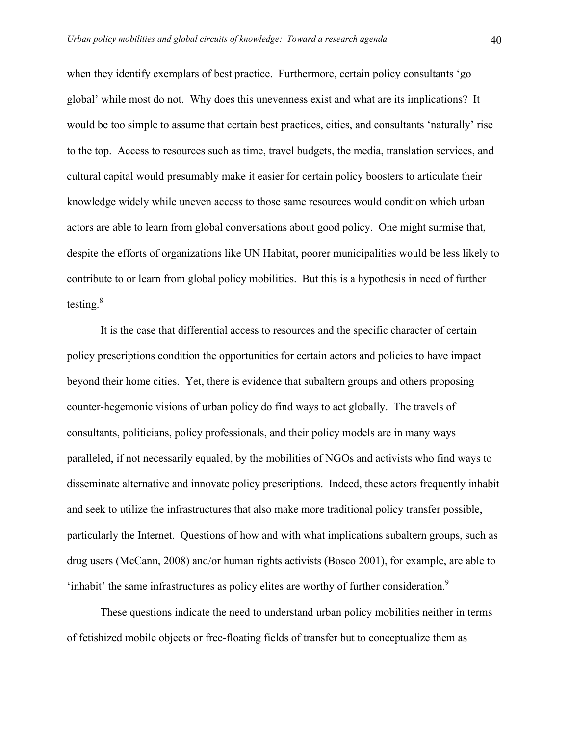when they identify exemplars of best practice. Furthermore, certain policy consultants 'go global' while most do not. Why does this unevenness exist and what are its implications? It would be too simple to assume that certain best practices, cities, and consultants 'naturally' rise to the top. Access to resources such as time, travel budgets, the media, translation services, and cultural capital would presumably make it easier for certain policy boosters to articulate their knowledge widely while uneven access to those same resources would condition which urban actors are able to learn from global conversations about good policy. One might surmise that, despite the efforts of organizations like UN Habitat, poorer municipalities would be less likely to contribute to or learn from global policy mobilities. But this is a hypothesis in need of further testing. $8$ 

It is the case that differential access to resources and the specific character of certain policy prescriptions condition the opportunities for certain actors and policies to have impact beyond their home cities. Yet, there is evidence that subaltern groups and others proposing counter-hegemonic visions of urban policy do find ways to act globally. The travels of consultants, politicians, policy professionals, and their policy models are in many ways paralleled, if not necessarily equaled, by the mobilities of NGOs and activists who find ways to disseminate alternative and innovate policy prescriptions. Indeed, these actors frequently inhabit and seek to utilize the infrastructures that also make more traditional policy transfer possible, particularly the Internet. Questions of how and with what implications subaltern groups, such as drug users (McCann, 2008) and/or human rights activists (Bosco 2001), for example, are able to 'inhabit' the same infrastructures as policy elites are worthy of further consideration.<sup>9</sup>

These questions indicate the need to understand urban policy mobilities neither in terms of fetishized mobile objects or free-floating fields of transfer but to conceptualize them as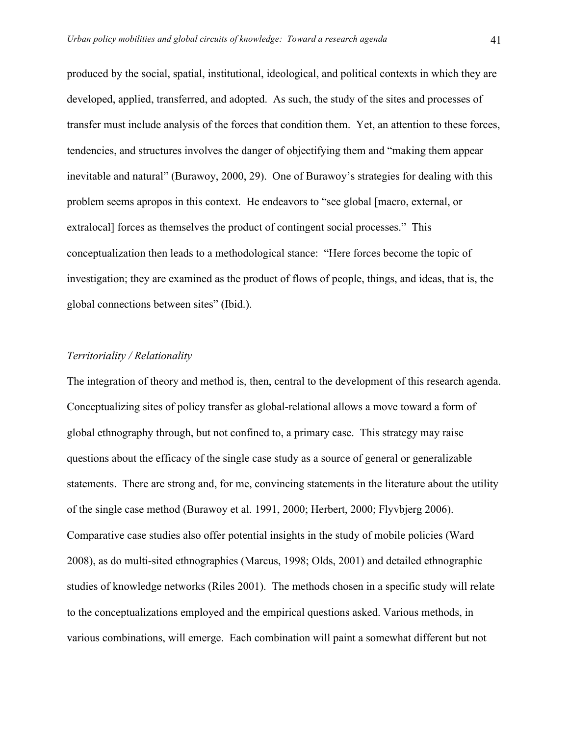produced by the social, spatial, institutional, ideological, and political contexts in which they are developed, applied, transferred, and adopted. As such, the study of the sites and processes of transfer must include analysis of the forces that condition them. Yet, an attention to these forces, tendencies, and structures involves the danger of objectifying them and "making them appear inevitable and natural" (Burawoy, 2000, 29). One of Burawoy's strategies for dealing with this problem seems apropos in this context. He endeavors to "see global [macro, external, or extralocal] forces as themselves the product of contingent social processes." This conceptualization then leads to a methodological stance: "Here forces become the topic of investigation; they are examined as the product of flows of people, things, and ideas, that is, the global connections between sites" (Ibid.).

#### *Territoriality / Relationality*

The integration of theory and method is, then, central to the development of this research agenda. Conceptualizing sites of policy transfer as global-relational allows a move toward a form of global ethnography through, but not confined to, a primary case. This strategy may raise questions about the efficacy of the single case study as a source of general or generalizable statements. There are strong and, for me, convincing statements in the literature about the utility of the single case method (Burawoy et al. 1991, 2000; Herbert, 2000; Flyvbjerg 2006). Comparative case studies also offer potential insights in the study of mobile policies (Ward 2008), as do multi-sited ethnographies (Marcus, 1998; Olds, 2001) and detailed ethnographic studies of knowledge networks (Riles 2001). The methods chosen in a specific study will relate to the conceptualizations employed and the empirical questions asked. Various methods, in various combinations, will emerge. Each combination will paint a somewhat different but not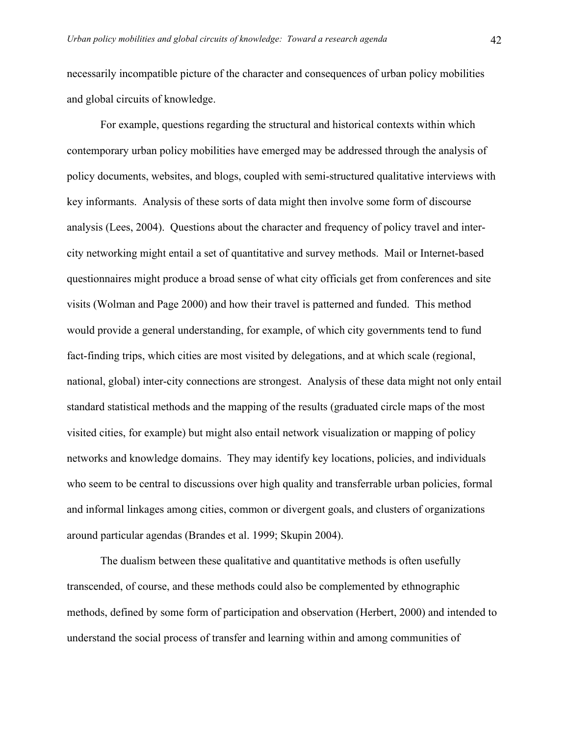necessarily incompatible picture of the character and consequences of urban policy mobilities and global circuits of knowledge.

For example, questions regarding the structural and historical contexts within which contemporary urban policy mobilities have emerged may be addressed through the analysis of policy documents, websites, and blogs, coupled with semi-structured qualitative interviews with key informants. Analysis of these sorts of data might then involve some form of discourse analysis (Lees, 2004). Questions about the character and frequency of policy travel and intercity networking might entail a set of quantitative and survey methods. Mail or Internet-based questionnaires might produce a broad sense of what city officials get from conferences and site visits (Wolman and Page 2000) and how their travel is patterned and funded. This method would provide a general understanding, for example, of which city governments tend to fund fact-finding trips, which cities are most visited by delegations, and at which scale (regional, national, global) inter-city connections are strongest. Analysis of these data might not only entail standard statistical methods and the mapping of the results (graduated circle maps of the most visited cities, for example) but might also entail network visualization or mapping of policy networks and knowledge domains. They may identify key locations, policies, and individuals who seem to be central to discussions over high quality and transferrable urban policies, formal and informal linkages among cities, common or divergent goals, and clusters of organizations around particular agendas (Brandes et al. 1999; Skupin 2004).

The dualism between these qualitative and quantitative methods is often usefully transcended, of course, and these methods could also be complemented by ethnographic methods, defined by some form of participation and observation (Herbert, 2000) and intended to understand the social process of transfer and learning within and among communities of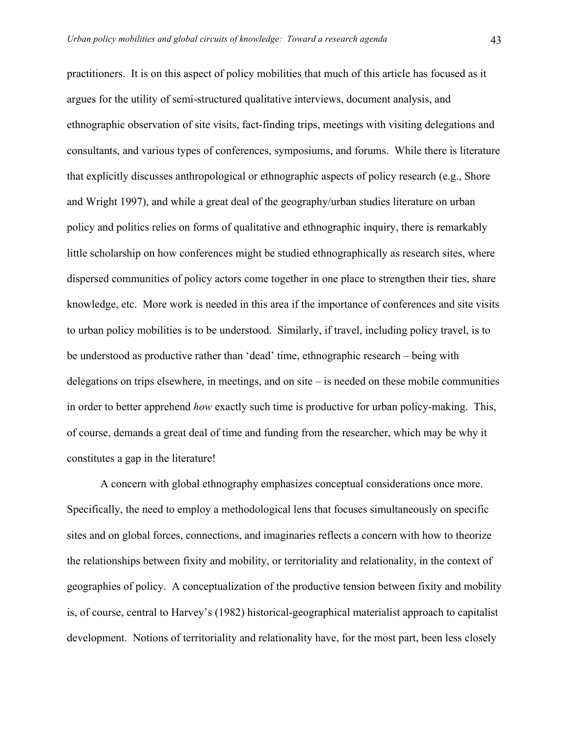practitioners. It is on this aspect of policy mobilities that much of this article has focused as it argues for the utility of semi-structured qualitative interviews, document analysis, and ethnographic observation of site visits, fact-finding trips, meetings with visiting delegations and consultants, and various types of conferences, symposiums, and forums. While there is literature that explicitly discusses anthropological or ethnographic aspects of policy research (e.g., Shore and Wright 1997), and while a great deal of the geography/urban studies literature on urban policy and politics relies on forms of qualitative and ethnographic inquiry, there is remarkably little scholarship on how conferences might be studied ethnographically as research sites, where dispersed communities of policy actors come together in one place to strengthen their ties, share knowledge, etc. More work is needed in this area if the importance of conferences and site visits to urban policy mobilities is to be understood. Similarly, if travel, including policy travel, is to be understood as productive rather than 'dead' time, ethnographic research – being with delegations on trips elsewhere, in meetings, and on site – is needed on these mobile communities in order to better apprehend *how* exactly such time is productive for urban policy-making. This, of course, demands a great deal of time and funding from the researcher, which may be why it constitutes a gap in the literature!

A concern with global ethnography emphasizes conceptual considerations once more. Specifically, the need to employ a methodological lens that focuses simultaneously on specific sites and on global forces, connections, and imaginaries reflects a concern with how to theorize the relationships between fixity and mobility, or territoriality and relationality, in the context of geographies of policy. A conceptualization of the productive tension between fixity and mobility is, of course, central to Harvey's (1982) historical-geographical materialist approach to capitalist development. Notions of territoriality and relationality have, for the most part, been less closely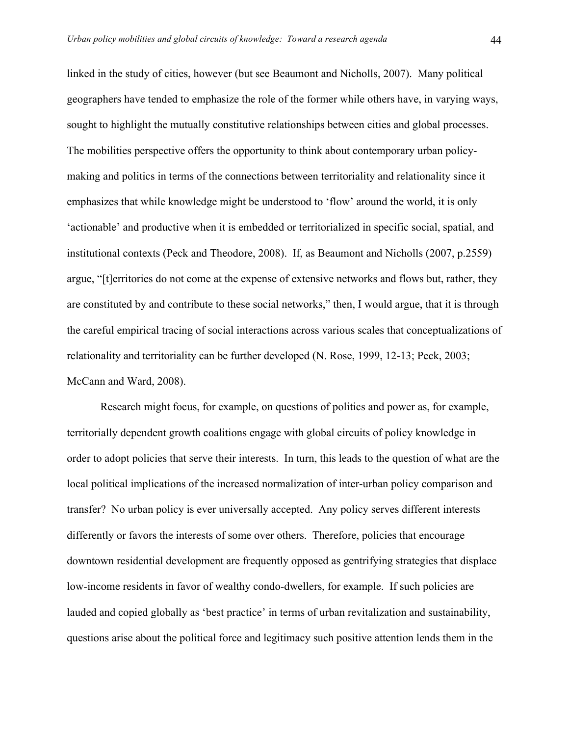linked in the study of cities, however (but see Beaumont and Nicholls, 2007). Many political geographers have tended to emphasize the role of the former while others have, in varying ways, sought to highlight the mutually constitutive relationships between cities and global processes. The mobilities perspective offers the opportunity to think about contemporary urban policymaking and politics in terms of the connections between territoriality and relationality since it emphasizes that while knowledge might be understood to 'flow' around the world, it is only 'actionable' and productive when it is embedded or territorialized in specific social, spatial, and institutional contexts (Peck and Theodore, 2008). If, as Beaumont and Nicholls (2007, p.2559) argue, "[t]erritories do not come at the expense of extensive networks and flows but, rather, they are constituted by and contribute to these social networks," then, I would argue, that it is through the careful empirical tracing of social interactions across various scales that conceptualizations of relationality and territoriality can be further developed (N. Rose, 1999, 12-13; Peck, 2003; McCann and Ward, 2008).

Research might focus, for example, on questions of politics and power as, for example, territorially dependent growth coalitions engage with global circuits of policy knowledge in order to adopt policies that serve their interests. In turn, this leads to the question of what are the local political implications of the increased normalization of inter-urban policy comparison and transfer? No urban policy is ever universally accepted. Any policy serves different interests differently or favors the interests of some over others. Therefore, policies that encourage downtown residential development are frequently opposed as gentrifying strategies that displace low-income residents in favor of wealthy condo-dwellers, for example. If such policies are lauded and copied globally as 'best practice' in terms of urban revitalization and sustainability, questions arise about the political force and legitimacy such positive attention lends them in the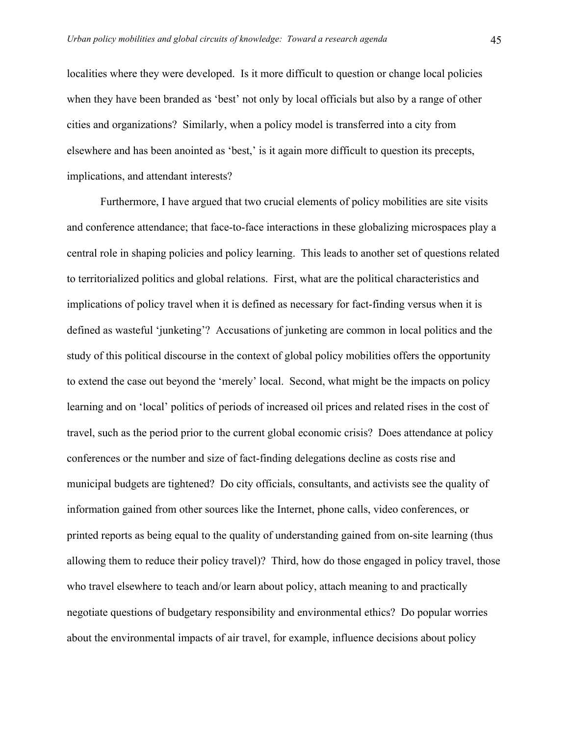localities where they were developed. Is it more difficult to question or change local policies when they have been branded as 'best' not only by local officials but also by a range of other cities and organizations? Similarly, when a policy model is transferred into a city from elsewhere and has been anointed as 'best,' is it again more difficult to question its precepts, implications, and attendant interests?

Furthermore, I have argued that two crucial elements of policy mobilities are site visits and conference attendance; that face-to-face interactions in these globalizing microspaces play a central role in shaping policies and policy learning. This leads to another set of questions related to territorialized politics and global relations. First, what are the political characteristics and implications of policy travel when it is defined as necessary for fact-finding versus when it is defined as wasteful 'junketing'? Accusations of junketing are common in local politics and the study of this political discourse in the context of global policy mobilities offers the opportunity to extend the case out beyond the 'merely' local. Second, what might be the impacts on policy learning and on 'local' politics of periods of increased oil prices and related rises in the cost of travel, such as the period prior to the current global economic crisis? Does attendance at policy conferences or the number and size of fact-finding delegations decline as costs rise and municipal budgets are tightened? Do city officials, consultants, and activists see the quality of information gained from other sources like the Internet, phone calls, video conferences, or printed reports as being equal to the quality of understanding gained from on-site learning (thus allowing them to reduce their policy travel)? Third, how do those engaged in policy travel, those who travel elsewhere to teach and/or learn about policy, attach meaning to and practically negotiate questions of budgetary responsibility and environmental ethics? Do popular worries about the environmental impacts of air travel, for example, influence decisions about policy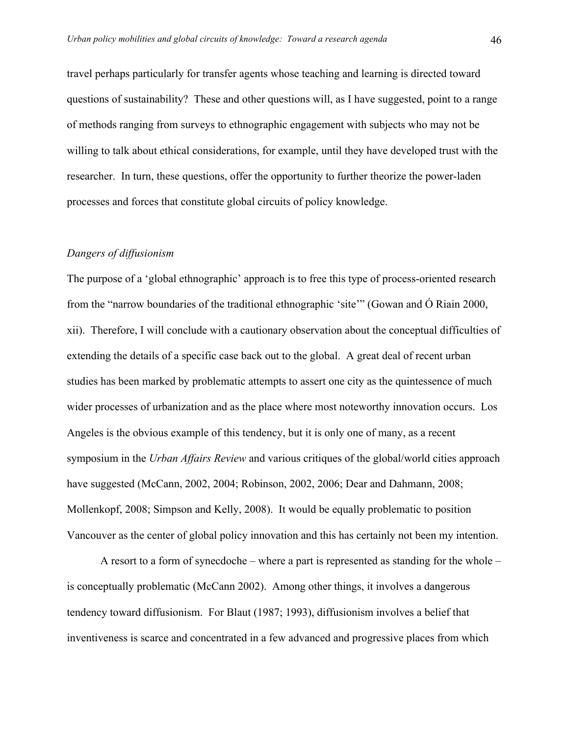travel perhaps particularly for transfer agents whose teaching and learning is directed toward questions of sustainability? These and other questions will, as I have suggested, point to a range of methods ranging from surveys to ethnographic engagement with subjects who may not be willing to talk about ethical considerations, for example, until they have developed trust with the researcher. In turn, these questions, offer the opportunity to further theorize the power-laden processes and forces that constitute global circuits of policy knowledge.

### *Dangers of diffusionism*

The purpose of a 'global ethnographic' approach is to free this type of process-oriented research from the "narrow boundaries of the traditional ethnographic 'site'" (Gowan and Ó Riain 2000, xii). Therefore, I will conclude with a cautionary observation about the conceptual difficulties of extending the details of a specific case back out to the global. A great deal of recent urban studies has been marked by problematic attempts to assert one city as the quintessence of much wider processes of urbanization and as the place where most noteworthy innovation occurs. Los Angeles is the obvious example of this tendency, but it is only one of many, as a recent symposium in the *Urban Affairs Review* and various critiques of the global/world cities approach have suggested (McCann, 2002, 2004; Robinson, 2002, 2006; Dear and Dahmann, 2008; Mollenkopf, 2008; Simpson and Kelly, 2008). It would be equally problematic to position Vancouver as the center of global policy innovation and this has certainly not been my intention.

A resort to a form of synecdoche – where a part is represented as standing for the whole – is conceptually problematic (McCann 2002). Among other things, it involves a dangerous tendency toward diffusionism. For Blaut (1987; 1993), diffusionism involves a belief that inventiveness is scarce and concentrated in a few advanced and progressive places from which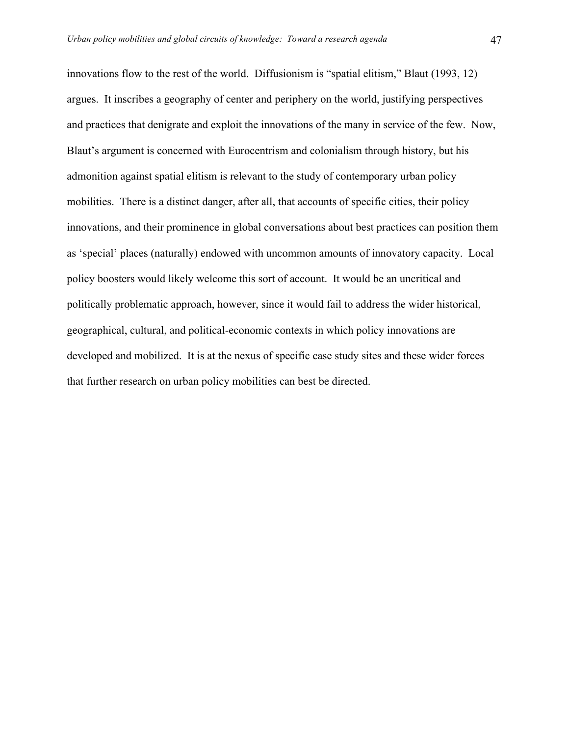innovations flow to the rest of the world. Diffusionism is "spatial elitism," Blaut (1993, 12) argues. It inscribes a geography of center and periphery on the world, justifying perspectives and practices that denigrate and exploit the innovations of the many in service of the few. Now, Blaut's argument is concerned with Eurocentrism and colonialism through history, but his admonition against spatial elitism is relevant to the study of contemporary urban policy mobilities. There is a distinct danger, after all, that accounts of specific cities, their policy innovations, and their prominence in global conversations about best practices can position them as 'special' places (naturally) endowed with uncommon amounts of innovatory capacity. Local policy boosters would likely welcome this sort of account. It would be an uncritical and politically problematic approach, however, since it would fail to address the wider historical, geographical, cultural, and political-economic contexts in which policy innovations are developed and mobilized. It is at the nexus of specific case study sites and these wider forces that further research on urban policy mobilities can best be directed.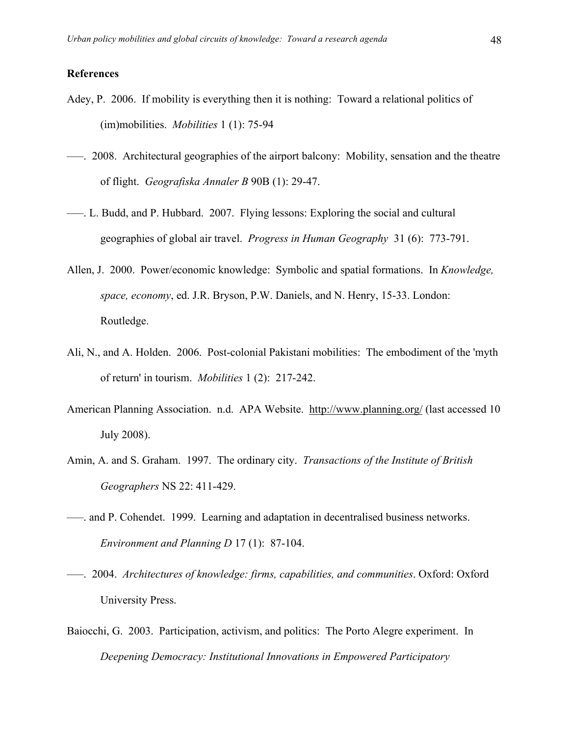#### **References**

- Adey, P. 2006. If mobility is everything then it is nothing: Toward a relational politics of (im)mobilities. *Mobilities* 1 (1): 75-94
- –––. 2008. Architectural geographies of the airport balcony: Mobility, sensation and the theatre of flight. *Geografiska Annaler B* 90B (1): 29-47.
- –––. L. Budd, and P. Hubbard. 2007. Flying lessons: Exploring the social and cultural geographies of global air travel. *Progress in Human Geography* 31 (6): 773-791.
- Allen, J. 2000. Power/economic knowledge: Symbolic and spatial formations. In *Knowledge, space, economy*, ed. J.R. Bryson, P.W. Daniels, and N. Henry, 15-33. London: Routledge.
- Ali, N., and A. Holden. 2006. Post-colonial Pakistani mobilities: The embodiment of the 'myth of return' in tourism. *Mobilities* 1 (2): 217-242.
- American Planning Association. n.d. APA Website. http://www.planning.org/ (last accessed 10 July 2008).
- Amin, A. and S. Graham. 1997. The ordinary city. *Transactions of the Institute of British Geographers* NS 22: 411-429.
- –––. and P. Cohendet. 1999. Learning and adaptation in decentralised business networks. *Environment and Planning D* 17 (1): 87-104.
- –––. 2004. *Architectures of knowledge: firms, capabilities, and communities*. Oxford: Oxford University Press.
- Baiocchi, G. 2003. Participation, activism, and politics: The Porto Alegre experiment. In *Deepening Democracy: Institutional Innovations in Empowered Participatory*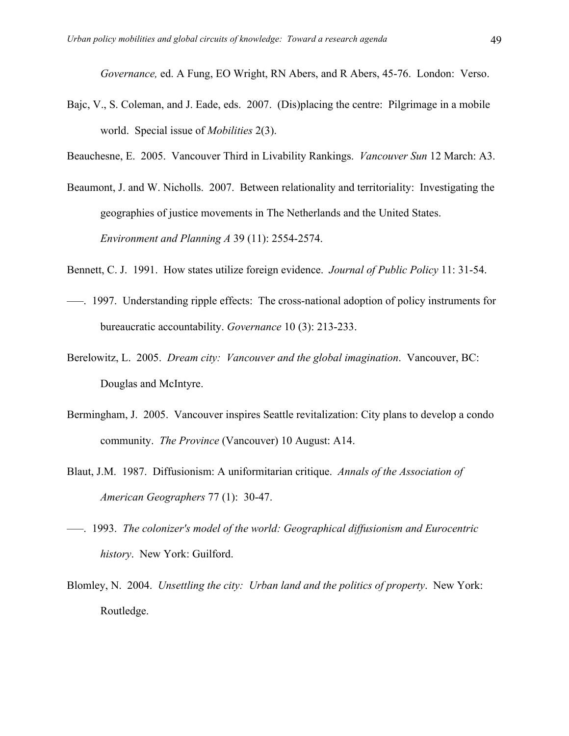*Governance,* ed. A Fung, EO Wright, RN Abers, and R Abers, 45-76. London: Verso.

- Bajc, V., S. Coleman, and J. Eade, eds. 2007. (Dis)placing the centre: Pilgrimage in a mobile world. Special issue of *Mobilities* 2(3).
- Beauchesne, E. 2005. Vancouver Third in Livability Rankings. *Vancouver Sun* 12 March: A3.
- Beaumont, J. and W. Nicholls. 2007. Between relationality and territoriality: Investigating the geographies of justice movements in The Netherlands and the United States. *Environment and Planning A* 39 (11): 2554-2574.
- Bennett, C. J. 1991. How states utilize foreign evidence. *Journal of Public Policy* 11: 31-54.
- –––. 1997. Understanding ripple effects: The cross-national adoption of policy instruments for bureaucratic accountability. *Governance* 10 (3): 213-233.
- Berelowitz, L. 2005. *Dream city: Vancouver and the global imagination*. Vancouver, BC: Douglas and McIntyre.
- Bermingham, J. 2005. Vancouver inspires Seattle revitalization: City plans to develop a condo community. *The Province* (Vancouver) 10 August: A14.
- Blaut, J.M. 1987. Diffusionism: A uniformitarian critique. *Annals of the Association of American Geographers* 77 (1): 30-47.
- –––. 1993. *The colonizer's model of the world: Geographical diffusionism and Eurocentric history*. New York: Guilford.
- Blomley, N. 2004. *Unsettling the city: Urban land and the politics of property*. New York: Routledge.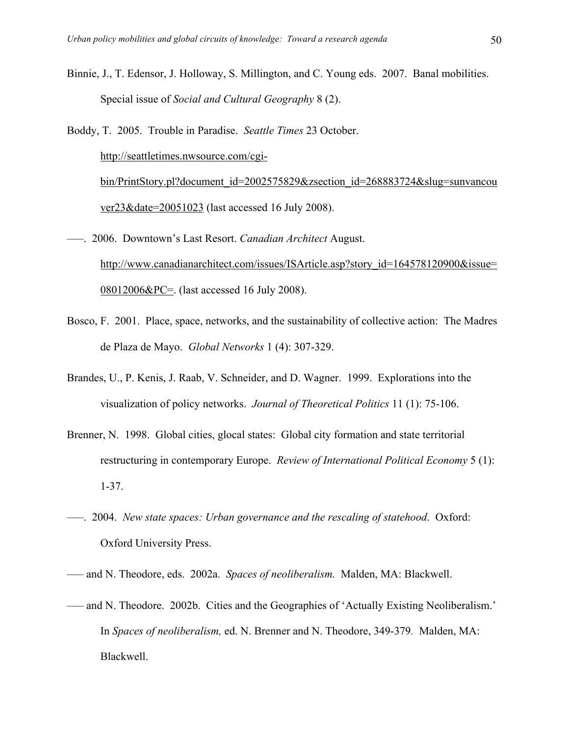- Binnie, J., T. Edensor, J. Holloway, S. Millington, and C. Young eds. 2007. Banal mobilities. Special issue of *Social and Cultural Geography* 8 (2).
- Boddy, T. 2005. Trouble in Paradise. *Seattle Times* 23 October. http://seattletimes.nwsource.com/cgibin/PrintStory.pl?document\_id=2002575829&zsection\_id=268883724&slug=sunvancou ver23&date=20051023 (last accessed 16 July 2008).
- –––. 2006. Downtown's Last Resort. *Canadian Architect* August. http://www.canadianarchitect.com/issues/ISArticle.asp?story\_id=164578120900&issue=  $08012006\&PC =$ . (last accessed 16 July 2008).
- Bosco, F. 2001. Place, space, networks, and the sustainability of collective action: The Madres de Plaza de Mayo. *Global Networks* 1 (4): 307-329.
- Brandes, U., P. Kenis, J. Raab, V. Schneider, and D. Wagner. 1999. Explorations into the visualization of policy networks. *Journal of Theoretical Politics* 11 (1): 75-106.
- Brenner, N. 1998. Global cities, glocal states: Global city formation and state territorial restructuring in contemporary Europe. *Review of International Political Economy* 5 (1): 1-37.
- –––. 2004. *New state spaces: Urban governance and the rescaling of statehood*. Oxford: Oxford University Press.
- ––– and N. Theodore, eds. 2002a. *Spaces of neoliberalism.* Malden, MA: Blackwell.
- ––– and N. Theodore. 2002b. Cities and the Geographies of 'Actually Existing Neoliberalism.' In *Spaces of neoliberalism,* ed. N. Brenner and N. Theodore, 349-379*.* Malden, MA: Blackwell.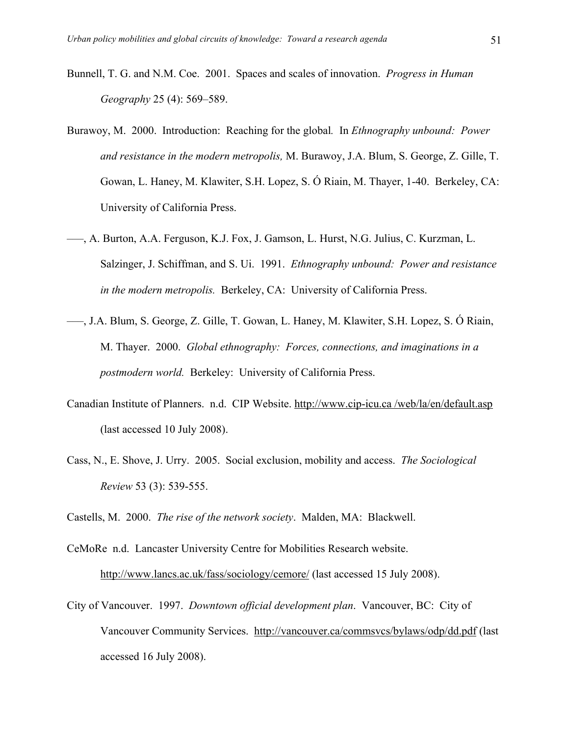- Bunnell, T. G. and N.M. Coe. 2001. Spaces and scales of innovation. *Progress in Human Geography* 25 (4): 569–589.
- Burawoy, M. 2000. Introduction: Reaching for the global*.* In *Ethnography unbound: Power and resistance in the modern metropolis,* M. Burawoy, J.A. Blum, S. George, Z. Gille, T. Gowan, L. Haney, M. Klawiter, S.H. Lopez, S. Ó Riain, M. Thayer, 1-40. Berkeley, CA: University of California Press.
- –––, A. Burton, A.A. Ferguson, K.J. Fox, J. Gamson, L. Hurst, N.G. Julius, C. Kurzman, L. Salzinger, J. Schiffman, and S. Ui. 1991. *Ethnography unbound: Power and resistance in the modern metropolis.* Berkeley, CA: University of California Press.
- –––, J.A. Blum, S. George, Z. Gille, T. Gowan, L. Haney, M. Klawiter, S.H. Lopez, S. Ó Riain, M. Thayer. 2000. *Global ethnography: Forces, connections, and imaginations in a postmodern world.* Berkeley: University of California Press.
- Canadian Institute of Planners. n.d. CIP Website. http://www.cip-icu.ca /web/la/en/default.asp (last accessed 10 July 2008).
- Cass, N., E. Shove, J. Urry. 2005. Social exclusion, mobility and access. *The Sociological Review* 53 (3): 539-555.

Castells, M. 2000. *The rise of the network society*. Malden, MA: Blackwell.

- CeMoRe n.d. Lancaster University Centre for Mobilities Research website. http://www.lancs.ac.uk/fass/sociology/cemore/ (last accessed 15 July 2008).
- City of Vancouver. 1997. *Downtown official development plan*. Vancouver, BC: City of Vancouver Community Services. http://vancouver.ca/commsvcs/bylaws/odp/dd.pdf (last accessed 16 July 2008).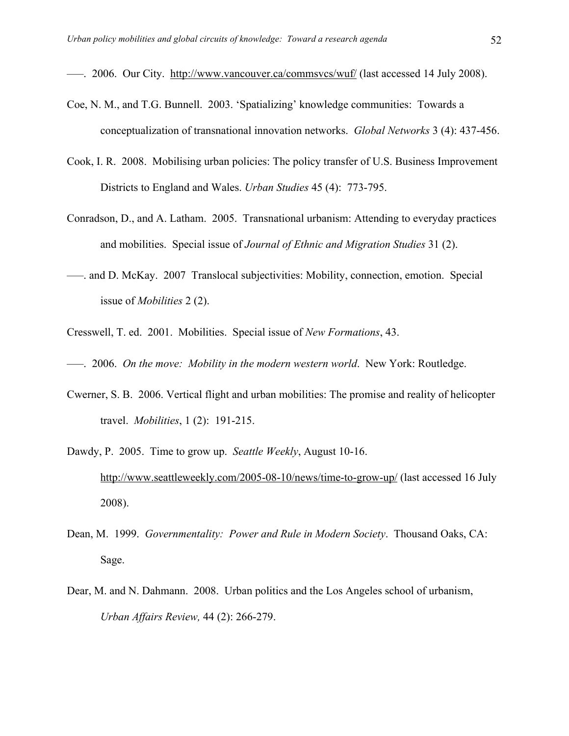–––. 2006. Our City. http://www.vancouver.ca/commsvcs/wuf/ (last accessed 14 July 2008).

- Coe, N. M., and T.G. Bunnell. 2003. 'Spatializing' knowledge communities: Towards a conceptualization of transnational innovation networks. *Global Networks* 3 (4): 437-456.
- Cook, I. R. 2008. Mobilising urban policies: The policy transfer of U.S. Business Improvement Districts to England and Wales. *Urban Studies* 45 (4): 773-795.
- Conradson, D., and A. Latham. 2005. Transnational urbanism: Attending to everyday practices and mobilities. Special issue of *Journal of Ethnic and Migration Studies* 31 (2).
- –––. and D. McKay. 2007 Translocal subjectivities: Mobility, connection, emotion. Special issue of *Mobilities* 2 (2).
- Cresswell, T. ed. 2001. Mobilities. Special issue of *New Formations*, 43.
- –––. 2006. *On the move: Mobility in the modern western world*. New York: Routledge.
- Cwerner, S. B. 2006. Vertical flight and urban mobilities: The promise and reality of helicopter travel. *Mobilities*, 1 (2): 191-215.
- Dawdy, P. 2005. Time to grow up. *Seattle Weekly*, August 10-16. http://www.seattleweekly.com/2005-08-10/news/time-to-grow-up/ (last accessed 16 July 2008).
- Dean, M. 1999. *Governmentality: Power and Rule in Modern Society*. Thousand Oaks, CA: Sage.
- Dear, M. and N. Dahmann. 2008. Urban politics and the Los Angeles school of urbanism, *Urban Affairs Review,* 44 (2): 266-279.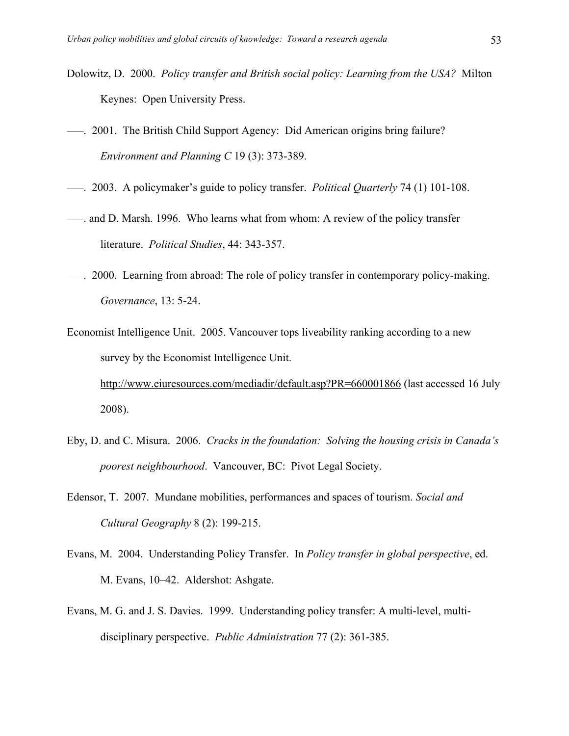- Dolowitz, D. 2000. *Policy transfer and British social policy: Learning from the USA?* Milton Keynes: Open University Press.
- –––. 2001. The British Child Support Agency: Did American origins bring failure? *Environment and Planning C* 19 (3): 373-389.
- –––. 2003. A policymaker's guide to policy transfer. *Political Quarterly* 74 (1) 101-108.
- –––. and D. Marsh. 1996. Who learns what from whom: A review of the policy transfer literature. *Political Studies*, 44: 343-357.
- –––. 2000. Learning from abroad: The role of policy transfer in contemporary policy-making. *Governance*, 13: 5-24.
- Economist Intelligence Unit. 2005. Vancouver tops liveability ranking according to a new survey by the Economist Intelligence Unit. http://www.eiuresources.com/mediadir/default.asp?PR=660001866 (last accessed 16 July 2008).
- Eby, D. and C. Misura. 2006. *Cracks in the foundation: Solving the housing crisis in Canada's poorest neighbourhood*. Vancouver, BC: Pivot Legal Society.
- Edensor, T. 2007. Mundane mobilities, performances and spaces of tourism. *Social and Cultural Geography* 8 (2): 199-215.
- Evans, M. 2004. Understanding Policy Transfer. In *Policy transfer in global perspective*, ed. M. Evans, 10–42. Aldershot: Ashgate.
- Evans, M. G. and J. S. Davies. 1999. Understanding policy transfer: A multi-level, multidisciplinary perspective. *Public Administration* 77 (2): 361-385.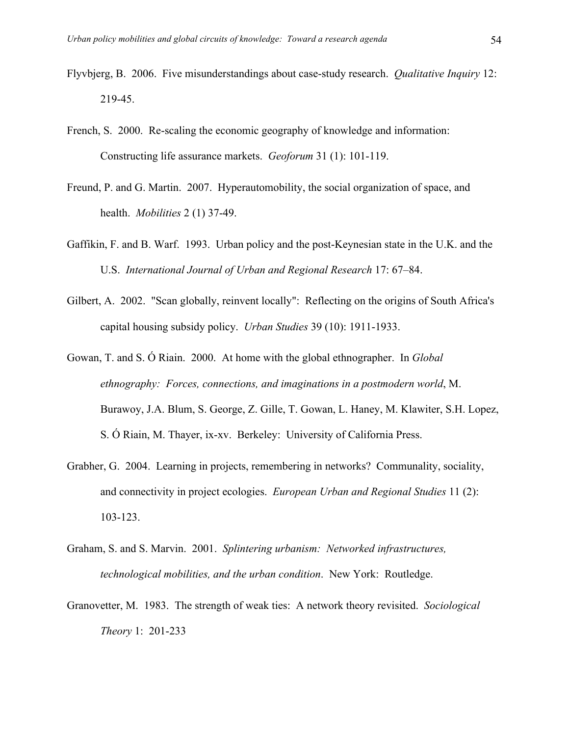- Flyvbjerg, B. 2006. Five misunderstandings about case-study research. *Qualitative Inquiry* 12: 219-45.
- French, S. 2000. Re-scaling the economic geography of knowledge and information: Constructing life assurance markets. *Geoforum* 31 (1): 101-119.
- Freund, P. and G. Martin. 2007. Hyperautomobility, the social organization of space, and health. *Mobilities* 2 (1) 37-49.
- Gaffikin, F. and B. Warf. 1993. Urban policy and the post-Keynesian state in the U.K. and the U.S. *International Journal of Urban and Regional Research* 17: 67–84.
- Gilbert, A. 2002. "Scan globally, reinvent locally": Reflecting on the origins of South Africa's capital housing subsidy policy. *Urban Studies* 39 (10): 1911-1933.
- Gowan, T. and S. Ó Riain. 2000. At home with the global ethnographer. In *Global ethnography: Forces, connections, and imaginations in a postmodern world*, M. Burawoy, J.A. Blum, S. George, Z. Gille, T. Gowan, L. Haney, M. Klawiter, S.H. Lopez, S. Ó Riain, M. Thayer, ix-xv. Berkeley: University of California Press.
- Grabher, G. 2004. Learning in projects, remembering in networks? Communality, sociality, and connectivity in project ecologies. *European Urban and Regional Studies* 11 (2): 103-123.
- Graham, S. and S. Marvin. 2001. *Splintering urbanism: Networked infrastructures, technological mobilities, and the urban condition*. New York: Routledge.
- Granovetter, M. 1983. The strength of weak ties: A network theory revisited. *Sociological Theory* 1: 201-233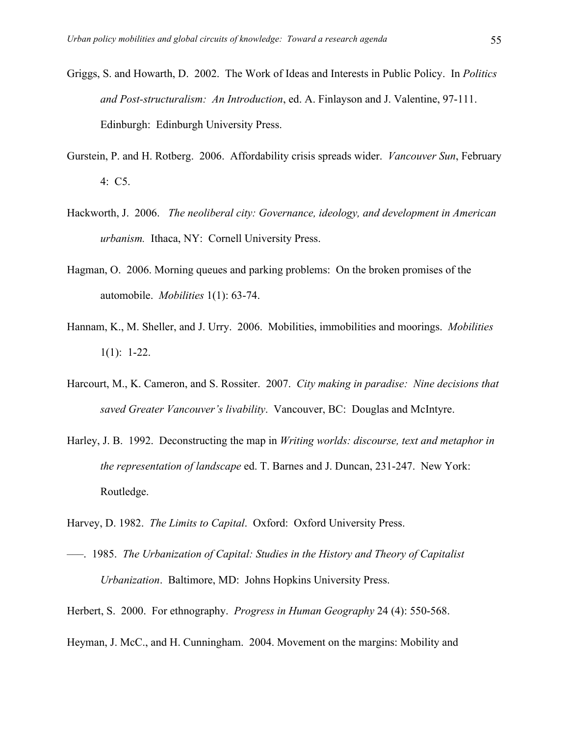- Griggs, S. and Howarth, D. 2002. The Work of Ideas and Interests in Public Policy. In *Politics and Post-structuralism: An Introduction*, ed. A. Finlayson and J. Valentine, 97-111. Edinburgh: Edinburgh University Press.
- Gurstein, P. and H. Rotberg. 2006. Affordability crisis spreads wider. *Vancouver Sun*, February 4: C5.
- Hackworth, J. 2006. *The neoliberal city: Governance, ideology, and development in American urbanism.* Ithaca, NY: Cornell University Press.
- Hagman, O. 2006. Morning queues and parking problems: On the broken promises of the automobile. *Mobilities* 1(1): 63-74.
- Hannam, K., M. Sheller, and J. Urry. 2006. Mobilities, immobilities and moorings. *Mobilities*  $1(1): 1-22.$
- Harcourt, M., K. Cameron, and S. Rossiter. 2007. *City making in paradise: Nine decisions that saved Greater Vancouver's livability*. Vancouver, BC: Douglas and McIntyre.
- Harley, J. B. 1992. Deconstructing the map in *Writing worlds: discourse, text and metaphor in the representation of landscape* ed. T. Barnes and J. Duncan, 231-247. New York: Routledge.
- Harvey, D. 1982. *The Limits to Capital*. Oxford: Oxford University Press.
- –––. 1985. *The Urbanization of Capital: Studies in the History and Theory of Capitalist Urbanization*. Baltimore, MD: Johns Hopkins University Press.
- Herbert, S. 2000. For ethnography. *Progress in Human Geography* 24 (4): 550-568.
- Heyman, J. McC., and H. Cunningham. 2004. Movement on the margins: Mobility and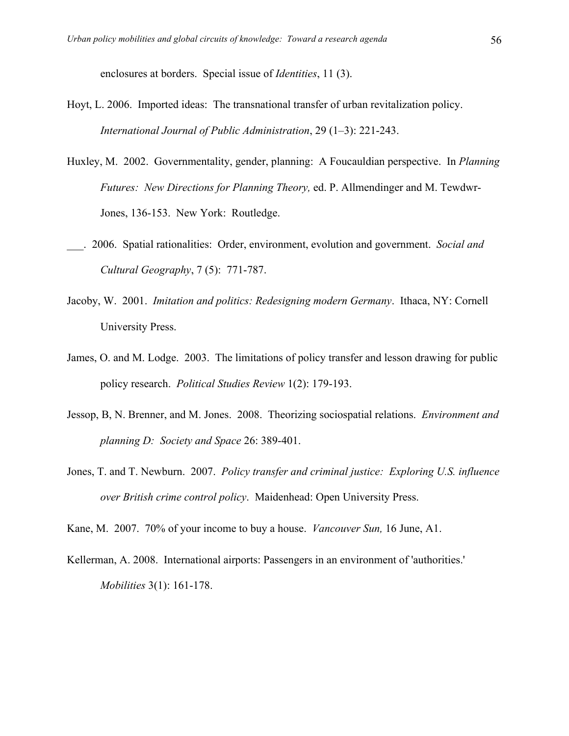enclosures at borders. Special issue of *Identities*, 11 (3).

- Hoyt, L. 2006. Imported ideas: The transnational transfer of urban revitalization policy. *International Journal of Public Administration*, 29 (1–3): 221-243.
- Huxley, M. 2002. Governmentality, gender, planning: A Foucauldian perspective. In *Planning Futures: New Directions for Planning Theory,* ed. P. Allmendinger and M. Tewdwr-Jones, 136-153. New York: Routledge.
- \_\_\_. 2006. Spatial rationalities: Order, environment, evolution and government. *Social and Cultural Geography*, 7 (5): 771-787.
- Jacoby, W. 2001. *Imitation and politics: Redesigning modern Germany*. Ithaca, NY: Cornell University Press.
- James, O. and M. Lodge. 2003. The limitations of policy transfer and lesson drawing for public policy research. *Political Studies Review* 1(2): 179-193.
- Jessop, B, N. Brenner, and M. Jones. 2008. Theorizing sociospatial relations. *Environment and planning D: Society and Space* 26: 389-401.
- Jones, T. and T. Newburn. 2007. *Policy transfer and criminal justice: Exploring U.S. influence over British crime control policy*. Maidenhead: Open University Press.

Kane, M. 2007. 70% of your income to buy a house. *Vancouver Sun,* 16 June, A1.

Kellerman, A. 2008. International airports: Passengers in an environment of 'authorities.' *Mobilities* 3(1): 161-178.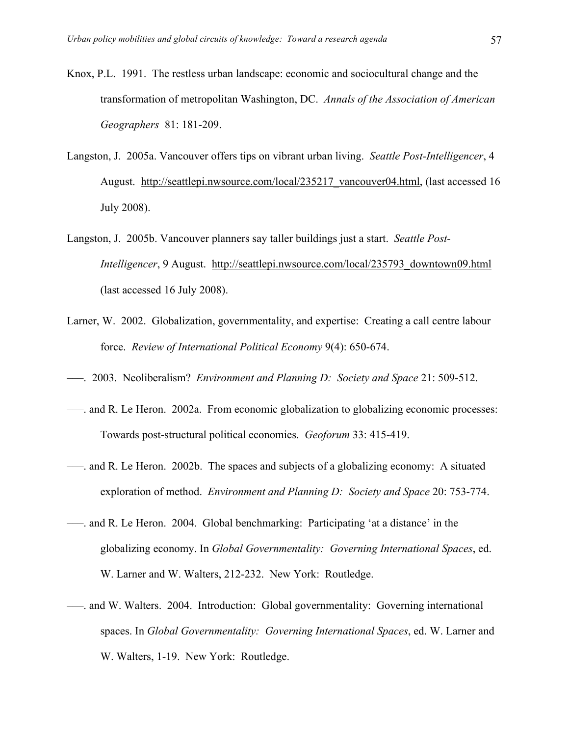- Knox, P.L. 1991. The restless urban landscape: economic and sociocultural change and the transformation of metropolitan Washington, DC. *Annals of the Association of American Geographers* 81: 181-209.
- Langston, J. 2005a. Vancouver offers tips on vibrant urban living. *Seattle Post-Intelligencer*, 4 August. http://seattlepi.nwsource.com/local/235217\_vancouver04.html, (last accessed 16 July 2008).
- Langston, J. 2005b. Vancouver planners say taller buildings just a start. *Seattle Post-Intelligencer*, 9 August. http://seattlepi.nwsource.com/local/235793\_downtown09.html (last accessed 16 July 2008).
- Larner, W. 2002. Globalization, governmentality, and expertise: Creating a call centre labour force. *Review of International Political Economy* 9(4): 650-674.
- –––. 2003. Neoliberalism? *Environment and Planning D: Society and Space* 21: 509-512.
- –––. and R. Le Heron. 2002a. From economic globalization to globalizing economic processes: Towards post-structural political economies. *Geoforum* 33: 415-419.
- –––. and R. Le Heron. 2002b. The spaces and subjects of a globalizing economy: A situated exploration of method. *Environment and Planning D: Society and Space* 20: 753-774.
- –––. and R. Le Heron. 2004. Global benchmarking: Participating 'at a distance' in the globalizing economy. In *Global Governmentality: Governing International Spaces*, ed. W. Larner and W. Walters, 212-232. New York: Routledge.
- –––. and W. Walters. 2004. Introduction: Global governmentality: Governing international spaces. In *Global Governmentality: Governing International Spaces*, ed. W. Larner and W. Walters, 1-19. New York: Routledge.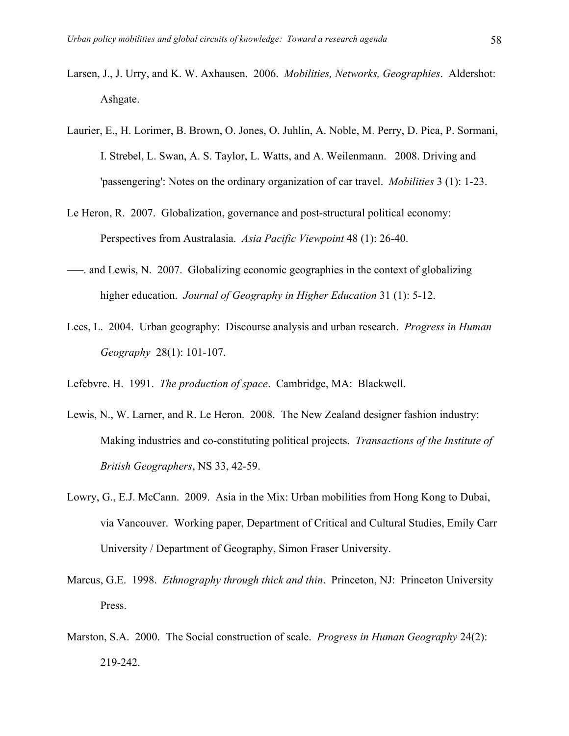- Larsen, J., J. Urry, and K. W. Axhausen. 2006. *Mobilities, Networks, Geographies*. Aldershot: Ashgate.
- Laurier, E., H. Lorimer, B. Brown, O. Jones, O. Juhlin, A. Noble, M. Perry, D. Pica, P. Sormani, I. Strebel, L. Swan, A. S. Taylor, L. Watts, and A. Weilenmann. 2008. Driving and 'passengering': Notes on the ordinary organization of car travel. *Mobilities* 3 (1): 1-23.
- Le Heron, R. 2007. Globalization, governance and post-structural political economy: Perspectives from Australasia. *Asia Pacific Viewpoint* 48 (1): 26-40.
- –––. and Lewis, N. 2007. Globalizing economic geographies in the context of globalizing higher education. *Journal of Geography in Higher Education* 31 (1): 5-12.
- Lees, L. 2004. Urban geography: Discourse analysis and urban research. *Progress in Human Geography* 28(1): 101-107.
- Lefebvre. H. 1991. *The production of space*. Cambridge, MA: Blackwell.
- Lewis, N., W. Larner, and R. Le Heron. 2008. The New Zealand designer fashion industry: Making industries and co-constituting political projects. *Transactions of the Institute of British Geographers*, NS 33, 42-59.
- Lowry, G., E.J. McCann. 2009. Asia in the Mix: Urban mobilities from Hong Kong to Dubai, via Vancouver. Working paper, Department of Critical and Cultural Studies, Emily Carr University / Department of Geography, Simon Fraser University.
- Marcus, G.E. 1998. *Ethnography through thick and thin*. Princeton, NJ: Princeton University Press.
- Marston, S.A. 2000. The Social construction of scale. *Progress in Human Geography* 24(2): 219-242.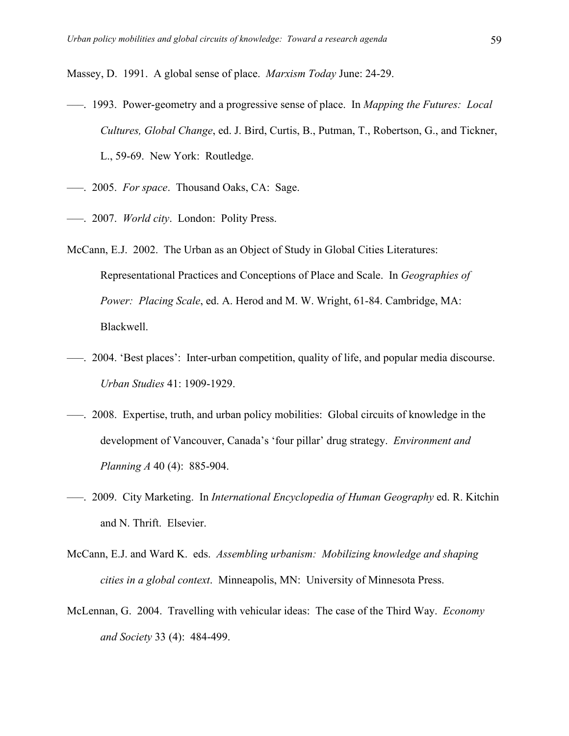Massey, D. 1991. A global sense of place. *Marxism Today* June: 24-29.

- –––. 1993. Power-geometry and a progressive sense of place. In *Mapping the Futures: Local Cultures, Global Change*, ed. J. Bird, Curtis, B., Putman, T., Robertson, G., and Tickner, L., 59-69. New York: Routledge.
- –––. 2005. *For space*. Thousand Oaks, CA: Sage.
- –––. 2007. *World city*. London: Polity Press.
- McCann, E.J. 2002. The Urban as an Object of Study in Global Cities Literatures: Representational Practices and Conceptions of Place and Scale. In *Geographies of Power: Placing Scale*, ed. A. Herod and M. W. Wright, 61-84. Cambridge, MA: Blackwell.
- –––. 2004. 'Best places': Inter-urban competition, quality of life, and popular media discourse. *Urban Studies* 41: 1909-1929.
- –––. 2008. Expertise, truth, and urban policy mobilities: Global circuits of knowledge in the development of Vancouver, Canada's 'four pillar' drug strategy. *Environment and Planning A* 40 (4): 885-904.
- –––. 2009. City Marketing. In *International Encyclopedia of Human Geography* ed. R. Kitchin and N. Thrift. Elsevier.
- McCann, E.J. and Ward K. eds. *Assembling urbanism: Mobilizing knowledge and shaping cities in a global context*. Minneapolis, MN: University of Minnesota Press.
- McLennan, G. 2004. Travelling with vehicular ideas: The case of the Third Way. *Economy and Society* 33 (4): 484-499.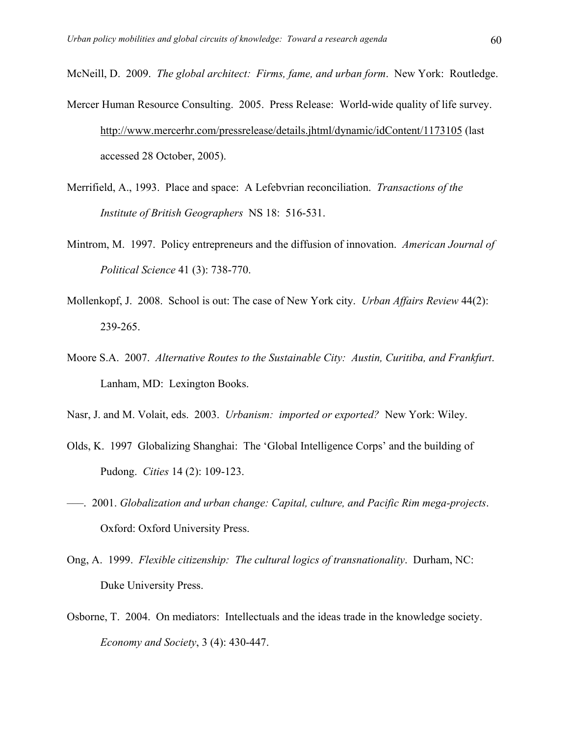McNeill, D. 2009. *The global architect: Firms, fame, and urban form*. New York: Routledge.

- Mercer Human Resource Consulting. 2005. Press Release: World-wide quality of life survey. http://www.mercerhr.com/pressrelease/details.jhtml/dynamic/idContent/1173105 (last accessed 28 October, 2005).
- Merrifield, A., 1993. Place and space: A Lefebvrian reconciliation. *Transactions of the Institute of British Geographers* NS 18: 516-531.
- Mintrom, M. 1997. Policy entrepreneurs and the diffusion of innovation. *American Journal of Political Science* 41 (3): 738-770.
- Mollenkopf, J. 2008. School is out: The case of New York city. *Urban Affairs Review* 44(2): 239-265.
- Moore S.A. 2007. *Alternative Routes to the Sustainable City: Austin, Curitiba, and Frankfurt*. Lanham, MD: Lexington Books.
- Nasr, J. and M. Volait, eds. 2003. *Urbanism: imported or exported?* New York: Wiley.
- Olds, K. 1997 Globalizing Shanghai: The 'Global Intelligence Corps' and the building of Pudong. *Cities* 14 (2): 109-123.
- –––. 2001. *Globalization and urban change: Capital, culture, and Pacific Rim mega-projects*. Oxford: Oxford University Press.
- Ong, A. 1999. *Flexible citizenship: The cultural logics of transnationality*. Durham, NC: Duke University Press.
- Osborne, T. 2004. On mediators: Intellectuals and the ideas trade in the knowledge society. *Economy and Society*, 3 (4): 430-447.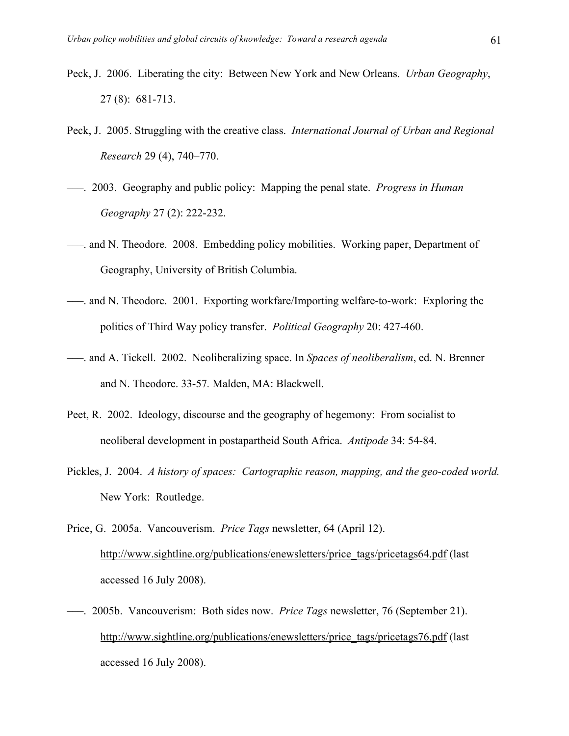- Peck, J. 2006. Liberating the city: Between New York and New Orleans. *Urban Geography*, 27 (8): 681-713.
- Peck, J. 2005. Struggling with the creative class. *International Journal of Urban and Regional Research* 29 (4), 740–770.
- –––. 2003. Geography and public policy: Mapping the penal state. *Progress in Human Geography* 27 (2): 222-232.
- –––. and N. Theodore. 2008. Embedding policy mobilities. Working paper, Department of Geography, University of British Columbia.
- –––. and N. Theodore. 2001. Exporting workfare/Importing welfare-to-work: Exploring the politics of Third Way policy transfer. *Political Geography* 20: 427-460.
- –––. and A. Tickell. 2002. Neoliberalizing space. In *Spaces of neoliberalism*, ed. N. Brenner and N. Theodore. 33-57*.* Malden, MA: Blackwell.
- Peet, R. 2002. Ideology, discourse and the geography of hegemony: From socialist to neoliberal development in postapartheid South Africa. *Antipode* 34: 54-84.
- Pickles, J. 2004. *A history of spaces: Cartographic reason, mapping, and the geo-coded world.* New York: Routledge.
- Price, G. 2005a. Vancouverism. *Price Tags* newsletter, 64 (April 12). http://www.sightline.org/publications/enewsletters/price\_tags/pricetags64.pdf (last accessed 16 July 2008).
- –––. 2005b. Vancouverism: Both sides now. *Price Tags* newsletter, 76 (September 21). http://www.sightline.org/publications/enewsletters/price\_tags/pricetags76.pdf (last accessed 16 July 2008).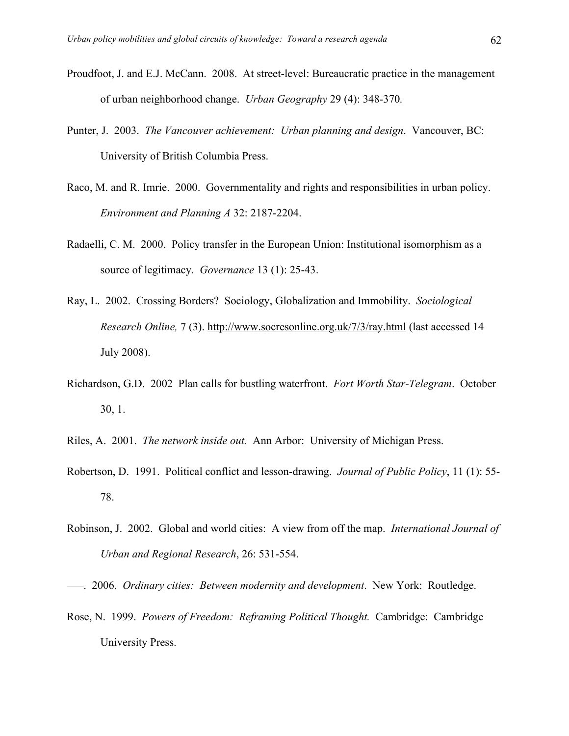- Proudfoot, J. and E.J. McCann. 2008. At street-level: Bureaucratic practice in the management of urban neighborhood change. *Urban Geography* 29 (4): 348-370*.*
- Punter, J. 2003. *The Vancouver achievement: Urban planning and design*. Vancouver, BC: University of British Columbia Press.
- Raco, M. and R. Imrie. 2000. Governmentality and rights and responsibilities in urban policy. *Environment and Planning A* 32: 2187-2204.
- Radaelli, C. M. 2000. Policy transfer in the European Union: Institutional isomorphism as a source of legitimacy. *Governance* 13 (1): 25-43.
- Ray, L. 2002. Crossing Borders? Sociology, Globalization and Immobility. *Sociological Research Online,* 7 (3). http://www.socresonline.org.uk/7/3/ray.html (last accessed 14 July 2008).
- Richardson, G.D. 2002 Plan calls for bustling waterfront. *Fort Worth Star-Telegram*. October 30, 1.
- Riles, A. 2001. *The network inside out.* Ann Arbor: University of Michigan Press.
- Robertson, D. 1991. Political conflict and lesson-drawing. *Journal of Public Policy*, 11 (1): 55- 78.
- Robinson, J. 2002. Global and world cities: A view from off the map. *International Journal of Urban and Regional Research*, 26: 531-554.
- –––. 2006. *Ordinary cities: Between modernity and development*. New York: Routledge.
- Rose, N. 1999. *Powers of Freedom: Reframing Political Thought.* Cambridge: Cambridge University Press.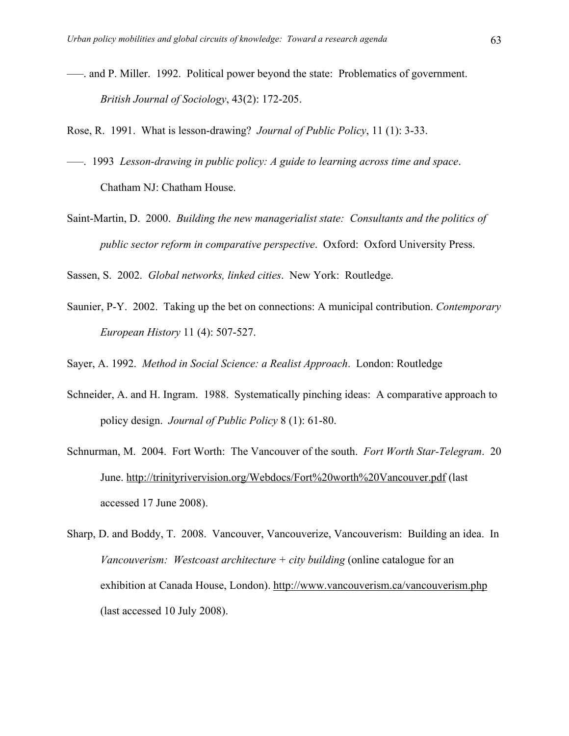- –––. and P. Miller. 1992. Political power beyond the state: Problematics of government. *British Journal of Sociology*, 43(2): 172-205.
- Rose, R. 1991. What is lesson-drawing? *Journal of Public Policy*, 11 (1): 3-33.
- –––. 1993 *Lesson-drawing in public policy: A guide to learning across time and space*. Chatham NJ: Chatham House.
- Saint-Martin, D. 2000. *Building the new managerialist state: Consultants and the politics of public sector reform in comparative perspective*. Oxford: Oxford University Press.
- Sassen, S. 2002. *Global networks, linked cities*. New York: Routledge.
- Saunier, P-Y. 2002. Taking up the bet on connections: A municipal contribution. *Contemporary European History* 11 (4): 507-527.
- Sayer, A. 1992. *Method in Social Science: a Realist Approach*. London: Routledge
- Schneider, A. and H. Ingram. 1988. Systematically pinching ideas: A comparative approach to policy design. *Journal of Public Policy* 8 (1): 61-80.
- Schnurman, M. 2004. Fort Worth: The Vancouver of the south. *Fort Worth Star-Telegram*. 20 June. http://trinityrivervision.org/Webdocs/Fort%20worth%20Vancouver.pdf (last accessed 17 June 2008).
- Sharp, D. and Boddy, T. 2008. Vancouver, Vancouverize, Vancouverism: Building an idea. In *Vancouverism: Westcoast architecture + city building* (online catalogue for an exhibition at Canada House, London). http://www.vancouverism.ca/vancouverism.php (last accessed 10 July 2008).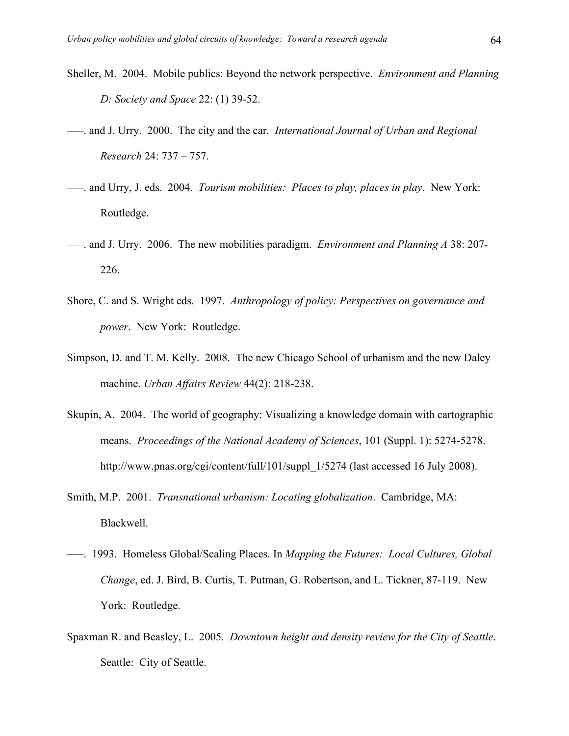- Sheller, M. 2004. Mobile publics: Beyond the network perspective. *Environment and Planning D: Society and Space* 22: (1) 39-52.
- –––. and J. Urry. 2000. The city and the car. *International Journal of Urban and Regional Research* 24: 737 – 757.
- –––. and Urry, J. eds. 2004. *Tourism mobilities: Places to play, places in play*. New York: Routledge.
- –––. and J. Urry. 2006. The new mobilities paradigm. *Environment and Planning A* 38: 207- 226.
- Shore, C. and S. Wright eds. 1997. *Anthropology of policy: Perspectives on governance and power*. New York: Routledge.
- Simpson, D. and T. M. Kelly. 2008. The new Chicago School of urbanism and the new Daley machine. *Urban Affairs Review* 44(2): 218-238.
- Skupin, A. 2004. The world of geography: Visualizing a knowledge domain with cartographic means. *Proceedings of the National Academy of Sciences*, 101 (Suppl. 1): 5274-5278. http://www.pnas.org/cgi/content/full/101/suppl\_1/5274 (last accessed 16 July 2008).
- Smith, M.P. 2001. *Transnational urbanism: Locating globalization*. Cambridge, MA: Blackwell.
- –––. 1993. Homeless Global/Scaling Places. In *Mapping the Futures: Local Cultures, Global Change*, ed. J. Bird, B. Curtis, T. Putman, G. Robertson, and L. Tickner, 87-119. New York: Routledge.
- Spaxman R. and Beasley, L. 2005. *Downtown height and density review for the City of Seattle*. Seattle: City of Seattle.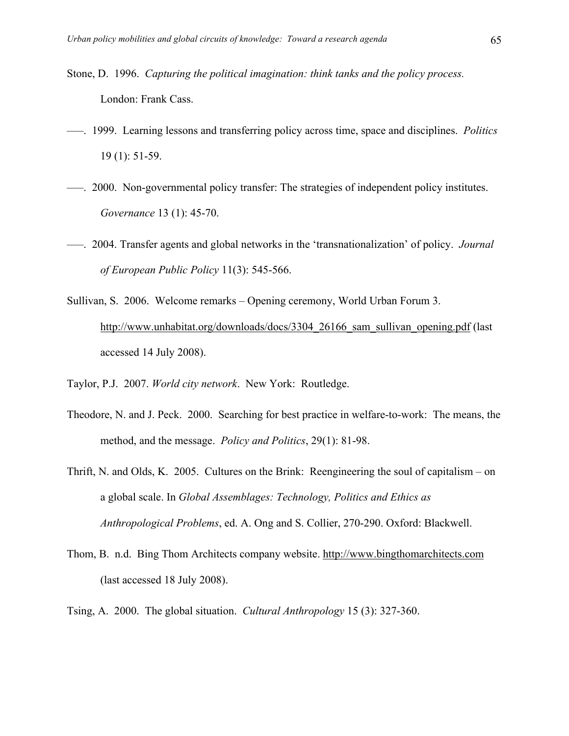- Stone, D. 1996. *Capturing the political imagination: think tanks and the policy process.* London: Frank Cass.
- –––. 1999. Learning lessons and transferring policy across time, space and disciplines. *Politics* 19 (1): 51-59.
- –––. 2000. Non-governmental policy transfer: The strategies of independent policy institutes. *Governance* 13 (1): 45-70.
- –––. 2004. Transfer agents and global networks in the 'transnationalization' of policy. *Journal of European Public Policy* 11(3): 545-566.
- Sullivan, S. 2006. Welcome remarks Opening ceremony, World Urban Forum 3. http://www.unhabitat.org/downloads/docs/3304\_26166\_sam\_sullivan\_opening.pdf (last accessed 14 July 2008).
- Taylor, P.J. 2007. *World city network*. New York: Routledge.
- Theodore, N. and J. Peck. 2000. Searching for best practice in welfare-to-work: The means, the method, and the message. *Policy and Politics*, 29(1): 81-98.
- Thrift, N. and Olds, K. 2005. Cultures on the Brink: Reengineering the soul of capitalism on a global scale. In *Global Assemblages: Technology, Politics and Ethics as Anthropological Problems*, ed. A. Ong and S. Collier, 270-290. Oxford: Blackwell.
- Thom, B. n.d. Bing Thom Architects company website. http://www.bingthomarchitects.com (last accessed 18 July 2008).
- Tsing, A. 2000. The global situation. *Cultural Anthropology* 15 (3): 327-360.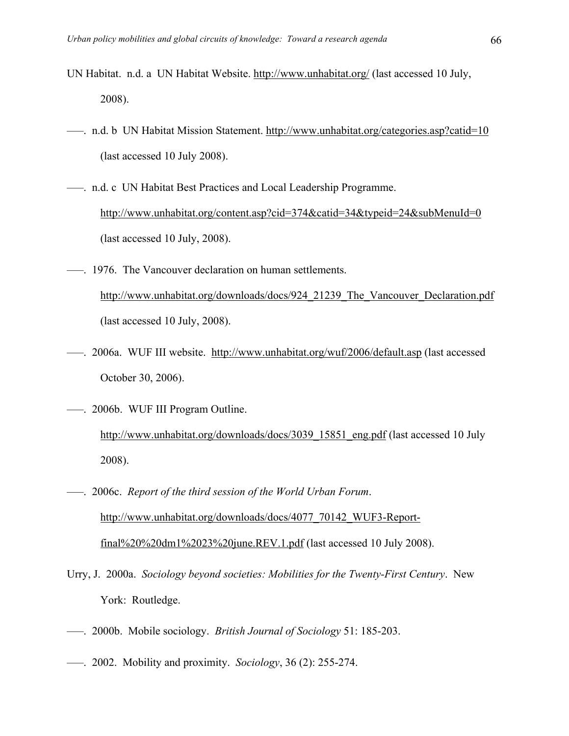- UN Habitat. n.d. a UN Habitat Website. http://www.unhabitat.org/ (last accessed 10 July, 2008).
- –––. n.d. b UN Habitat Mission Statement. http://www.unhabitat.org/categories.asp?catid=10 (last accessed 10 July 2008).
- –––. n.d. c UN Habitat Best Practices and Local Leadership Programme. http://www.unhabitat.org/content.asp?cid=374&catid=34&typeid=24&subMenuId=0 (last accessed 10 July, 2008).
- –––. 1976. The Vancouver declaration on human settlements. http://www.unhabitat.org/downloads/docs/924\_21239\_The\_Vancouver\_Declaration.pdf (last accessed 10 July, 2008).
- ---. 2006a. WUF III website. http://www.unhabitat.org/wuf/2006/default.asp (last accessed October 30, 2006).
- –––. 2006b. WUF III Program Outline. http://www.unhabitat.org/downloads/docs/3039\_15851\_eng.pdf (last accessed 10 July 2008).
- –––. 2006c. *Report of the third session of the World Urban Forum*. http://www.unhabitat.org/downloads/docs/4077\_70142\_WUF3-Reportfinal%20%20dm1%2023%20june.REV.1.pdf (last accessed 10 July 2008).
- Urry, J. 2000a. *Sociology beyond societies: Mobilities for the Twenty-First Century*. New York: Routledge.
- –––. 2000b. Mobile sociology. *British Journal of Sociology* 51: 185-203.
- –––. 2002. Mobility and proximity. *Sociology*, 36 (2): 255-274.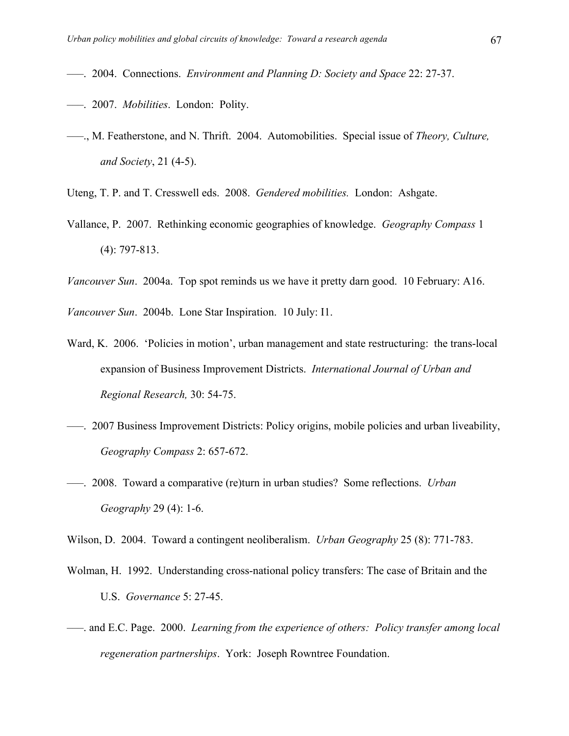- –––. 2004. Connections. *Environment and Planning D: Society and Space* 22: 27-37.
- –––. 2007. *Mobilities*. London: Polity.
- –––., M. Featherstone, and N. Thrift. 2004. Automobilities. Special issue of *Theory, Culture, and Society*, 21 (4-5).
- Uteng, T. P. and T. Cresswell eds. 2008. *Gendered mobilities.* London: Ashgate.
- Vallance, P. 2007. Rethinking economic geographies of knowledge. *Geography Compass* 1 (4): 797-813.
- *Vancouver Sun*. 2004a. Top spot reminds us we have it pretty darn good. 10 February: A16.

*Vancouver Sun*. 2004b. Lone Star Inspiration. 10 July: I1.

- Ward, K. 2006. 'Policies in motion', urban management and state restructuring: the trans-local expansion of Business Improvement Districts. *International Journal of Urban and Regional Research,* 30: 54-75.
- –––. 2007 Business Improvement Districts: Policy origins, mobile policies and urban liveability, *Geography Compass* 2: 657-672.
- –––. 2008. Toward a comparative (re)turn in urban studies? Some reflections. *Urban Geography* 29 (4): 1-6.

Wilson, D. 2004. Toward a contingent neoliberalism. *Urban Geography* 25 (8): 771-783.

- Wolman, H. 1992. Understanding cross-national policy transfers: The case of Britain and the U.S. *Governance* 5: 27-45.
- –––. and E.C. Page. 2000. *Learning from the experience of others: Policy transfer among local regeneration partnerships*. York: Joseph Rowntree Foundation.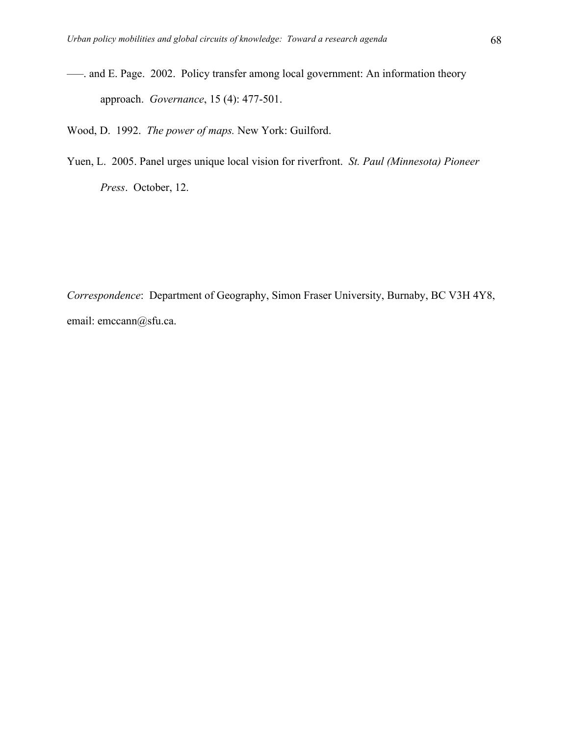–––. and E. Page. 2002. Policy transfer among local government: An information theory approach. *Governance*, 15 (4): 477-501.

Wood, D. 1992. *The power of maps.* New York: Guilford.

Yuen, L. 2005. Panel urges unique local vision for riverfront. *St. Paul (Minnesota) Pioneer Press*. October, 12.

*Correspondence*: Department of Geography, Simon Fraser University, Burnaby, BC V3H 4Y8, email: emccann@sfu.ca.